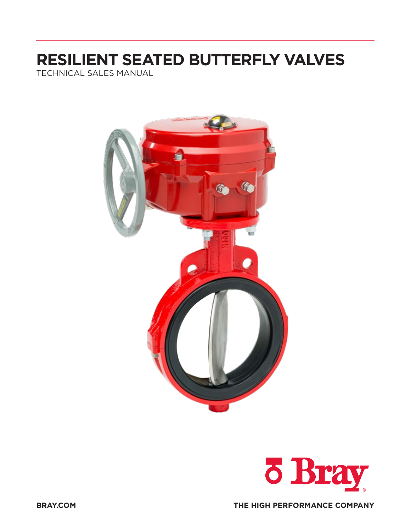# **RESILIENT SEATED BUTTERFLY VALVES**

TECHNICAL SALES MANUAL



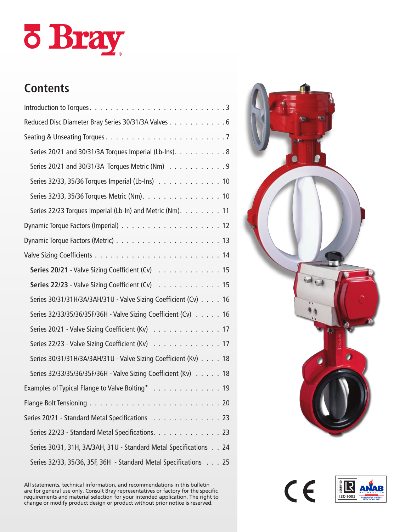# o Bray

# **Contents**

| Reduced Disc Diameter Bray Series 30/31/3A Valves 6               |
|-------------------------------------------------------------------|
|                                                                   |
| Series 20/21 and 30/31/3A Torques Imperial (Lb-Ins). 8            |
| Series 20/21 and 30/31/3A Torques Metric (Nm) 9                   |
| Series 32/33, 35/36 Torques Imperial (Lb-Ins) 10                  |
| Series 32/33, 35/36 Torques Metric (Nm). 10                       |
| Series 22/23 Torques Imperial (Lb-In) and Metric (Nm). 11         |
|                                                                   |
|                                                                   |
|                                                                   |
| Series 20/21 - Valve Sizing Coefficient (Cv) 15                   |
| Series 22/23 - Valve Sizing Coefficient (Cv) 15                   |
| Series 30/31/31H/3A/3AH/31U - Valve Sizing Coefficient (Cv) 16    |
| Series 32/33/35/36/35F/36H - Valve Sizing Coefficient (Cv) 16     |
| Series 20/21 - Valve Sizing Coefficient (Kv) 17                   |
| Series 22/23 - Valve Sizing Coefficient (Kv) 17                   |
| Series 30/31/31H/3A/3AH/31U - Valve Sizing Coefficient (Kv) 18    |
| Series 32/33/35/36/35F/36H - Valve Sizing Coefficient (Kv) 18     |
| Examples of Typical Flange to Valve Bolting* 19                   |
|                                                                   |
| Series 20/21 - Standard Metal Specifications 23                   |
| Series 22/23 - Standard Metal Specifications. 23                  |
| Series 30/31, 31H, 3A/3AH, 31U - Standard Metal Specifications 24 |
| Series 32/33, 35/36, 35F, 36H - Standard Metal Specifications 25  |

All statements, technical information, and recommendations in this bulletin are for general use only. Consult Bray representatives or factory for the specific requirements and material selection for your intended application. The right to change or modify product design or product without prior notice is reserved.



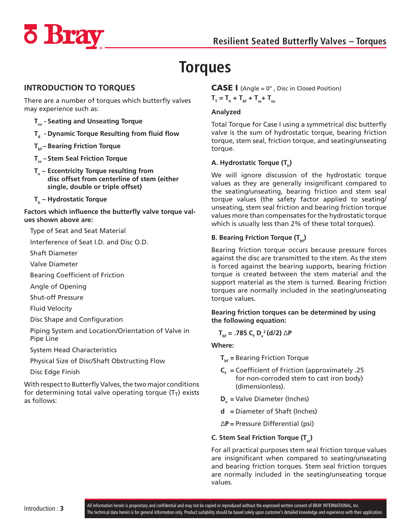<span id="page-2-0"></span>

# **Torques**

#### **INTRODUCTION TO TORQUES**

There are a number of torques which butterfly valves may experience such as:

- **Tsu - Seating and Unseating Torque**
- **T<sub>a</sub>** Dynamic Torque Resulting from fluid flow
- **Tbf – Bearing Friction Torque**
- **T<sub>ss</sub> Stem Seal Friction Torque**
- **Te – Eccentricity Torque resulting from disc offset from centerline of stem (either single, double or triple offset)**
- **Th – Hydrostatic Torque**

**Factors which influence the butterfly valve torque values shown above are:**

Type of Seat and Seat Material

Interference of Seat I.D. and Disc O.D.

Shaft Diameter

Valve Diameter

Bearing Coefficient of Friction

Angle of Opening

Shut-off Pressure

Fluid Velocity

Disc Shape and Configuration

Piping System and Location/Orientation of Valve in Pipe Line

System Head Characteristics

Physical Size of Disc/Shaft Obstructing Flow

Disc Edge Finish

With respect to Butterfly Valves, the two major conditions for determining total valve operating torque  $(T<sub>T</sub>)$  exists as follows:

#### **CASE I** (Angle =  $0^\circ$ , Disc in Closed Position)  $T_{T} = T_{h} + T_{bf} + T_{ss} + T_{su}$

#### **Analyzed**

Total Torque for Case I using a symmetrical disc butterfly valve is the sum of hydrostatic torque, bearing friction torque, stem seal, friction torque, and seating/unseating torque.

#### A. Hydrostatic Torque (T<sub>b</sub>)

We will ignore discussion of the hydrostatic torque values as they are generally insignificant compared to the seating/unseating, bearing friction and stem seal torque values (the safety factor applied to seating/ unseating, stem seal friction and bearing friction torque values more than compensates for the hydrostatic torque which is usually less than 2% of these total torques).

#### **B. Bearing Friction Torque (T<sub>be</sub>)**

Bearing friction torque occurs because pressure forces against the disc are transmitted to the stem. As the stem is forced against the bearing supports, bearing friction torque is created between the stem material and the support material as the stem is turned. Bearing friction torques are normally included in the seating/unseating torque values.

#### **Bearing friction torques can be determined by using the following equation:**

 $T_{\text{bf}}$  = .785 C<sub>f</sub> D<sub>v</sub><sup>2</sup>(d/2) ∆P

#### **Where:**

- **T**<sub>bf</sub> = Bearing Friction Torque
- $C<sub>f</sub>$  = Coefficient of Friction (approximately .25 for non-corroded stem to cast iron body) (dimensionless).
- **D**<sub>v</sub> = Valve Diameter (Inches)
- **d =** Diameter of Shaft (Inches)
- ∆**P =** Pressure Differential (psi)
- **C. Stem Seal Friction Torque (T.)**

For all practical purposes stem seal friction torque values are insignificant when compared to seating/unseating and bearing friction torques. Stem seal friction torques are normally included in the seating/unseating torque values.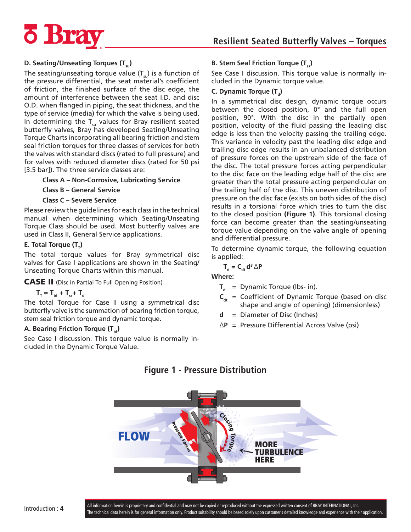

## **Resilient Seated Butterfly Valves – Torques**

#### **D. Seating/Unseating Torques (T.)**

The seating/unseating torque value  $(T_{s}$ ) is a function of the pressure differential, the seat material's coefficient of friction, the finished surface of the disc edge, the amount of interference between the seat I.D. and disc O.D. when flanged in piping, the seat thickness, and the type of service (media) for which the valve is being used. In determining the  $T_{\text{su}}$  values for Bray resilient seated butterfly valves, Bray has developed Seating/Unseating Torque Charts incorporating all bearing friction and stem seal friction torques for three classes of services for both the valves with standard discs (rated to full pressure) and for valves with reduced diameter discs (rated for 50 psi [3.5 bar]). The three service classes are:

#### **Class A – Non-Corrosive, Lubricating Service**

**Class B – General Service**

**Class C – Severe Service**

Please review the guidelines for each class in the technical manual when determining which Seating/Unseating Torque Class should be used. Most butterfly valves are used in Class II, General Service applications.

#### **E.** Total Torque  $(T_7)$

The total torque values for Bray symmetrical disc valves for Case I applications are shown in the Seating/ Unseating Torque Charts within this manual.

CASE II (Disc in Partial To Full Opening Position)

 $T_{T} = T_{\text{bf}} + T_{\text{ss}} + T_{\text{d}}$ 

The total Torque for Case II using a symmetrical disc butterfly valve is the summation of bearing friction torque, stem seal friction torque and dynamic torque.

#### **A. Bearing Friction Torque (T<sub>bf</sub>)**

See Case I discussion. This torque value is normally included in the Dynamic Torque Value.

#### **B. Stem Seal Friction Torque (T<sub>n</sub>)**

See Case I discussion. This torque value is normally included in the Dynamic torque value.

#### **C. Dynamic Torque (T<sub>a</sub>)**

In a symmetrical disc design, dynamic torque occurs between the closed position, 0° and the full open position, 90°. With the disc in the partially open position, velocity of the fluid passing the leading disc edge is less than the velocity passing the trailing edge. This variance in velocity past the leading disc edge and trailing disc edge results in an unbalanced distribution of pressure forces on the upstream side of the face of the disc. The total pressure forces acting perpendicular to the disc face on the leading edge half of the disc are greater than the total pressure acting perpendicular on the trailing half of the disc. This uneven distribution of pressure on the disc face (exists on both sides of the disc) results in a torsional force which tries to turn the disc to the closed position **(Figure 1)**. This torsional closing force can become greater than the seating/unseating torque value depending on the valve angle of opening and differential pressure.

To determine dynamic torque, the following equation is applied:

$$
\mathbf{T}_{\mathbf{d}} = \mathbf{C}_{\mathbf{d}\mathbf{t}} \mathbf{d}^3 \triangle \mathbf{P}
$$

**Where:**

- $T<sub>d</sub>$  = Dynamic Torque (lbs- in).
- $C_{\text{dt}}$  = Coefficient of Dynamic Torque (based on disc shape and angle of opening) (dimensionless)
- **d** = Diameter of Disc (Inches)
- ∆**P** = Pressure Differential Across Valve (psi)



## **Figure 1 - Pressure Distribution**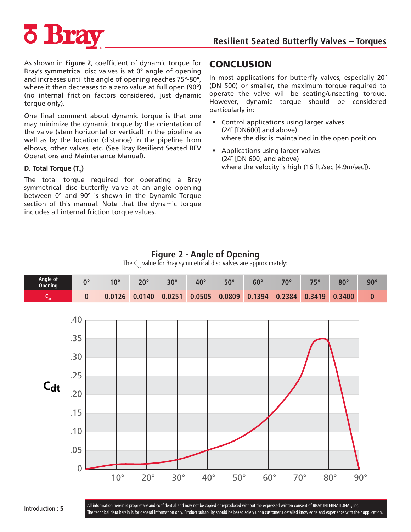

As shown in **Figure 2**, coefficient of dynamic torque for Bray's symmetrical disc valves is at 0**°** angle of opening and increases until the angle of opening reaches 75**°**-80**°**, where it then decreases to a zero value at full open (90**°**) (no internal friction factors considered, just dynamic torque only).

One final comment about dynamic torque is that one may minimize the dynamic torque by the orientation of the valve (stem horizontal or vertical) in the pipeline as well as by the location (distance) in the pipeline from elbows, other valves, etc. (See Bray Resilient Seated BFV Operations and Maintenance Manual).

#### **D. Total Torque (T<sub>T</sub>)**

The total torque required for operating a Bray symmetrical disc butterfly valve at an angle opening between 0**°** and 90**°** is shown in the Dynamic Torque section of this manual. Note that the dynamic torque includes all internal friction torque values.

#### **CONCLUSION**

In most applications for butterfly valves, especially 20˝ (DN 500) or smaller, the maximum torque required to operate the valve will be seating/unseating torque. However, dynamic torque should be considered particularly in:

- Control applications using larger valves (24˝ [DN600] and above) where the disc is maintained in the open position
- Applications using larger valves (24˝ [DN 600] and above) where the velocity is high (16 ft./sec [4.9m/sec]).

#### **Figure 2 - Angle of Opening**

The  $C_{\text{at}}$  value for Bray symmetrical disc valves are approximately:



Introduction : 5 All information herein is proprietary and confidential and may not be copied or reproduced without the expressed written consent of BRAY INTERNATIONAL, Inc. The technical data herein is for general information only. Product suitability should be based solely upon customer's detailed knowledge and experience with their application.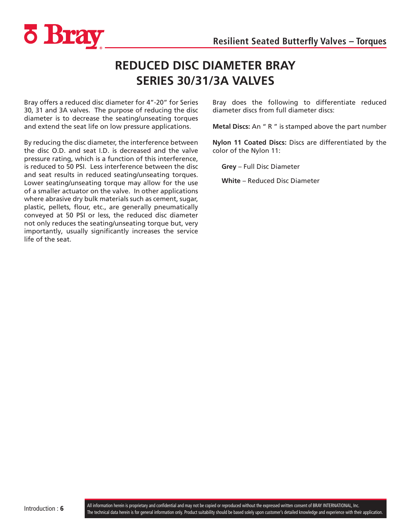<span id="page-5-0"></span>

## **REDUCED DISC DIAMETER BRAY SERIES 30/31/3A VALVES**

Bray offers a reduced disc diameter for 4"-20" for Series 30, 31 and 3A valves. The purpose of reducing the disc diameter is to decrease the seating/unseating torques and extend the seat life on low pressure applications.

By reducing the disc diameter, the interference between the disc O.D. and seat I.D. is decreased and the valve pressure rating, which is a function of this interference, is reduced to 50 PSI. Less interference between the disc and seat results in reduced seating/unseating torques. Lower seating/unseating torque may allow for the use of a smaller actuator on the valve. In other applications where abrasive dry bulk materials such as cement, sugar, plastic, pellets, flour, etc., are generally pneumatically conveyed at 50 PSI or less, the reduced disc diameter not only reduces the seating/unseating torque but, very importantly, usually significantly increases the service life of the seat.

Bray does the following to differentiate reduced diameter discs from full diameter discs:

**Metal Discs:** An " R " is stamped above the part number

**Nylon 11 Coated Discs:** Discs are differentiated by the color of the Nylon 11:

**Grey** – Full Disc Diameter

**White** – Reduced Disc Diameter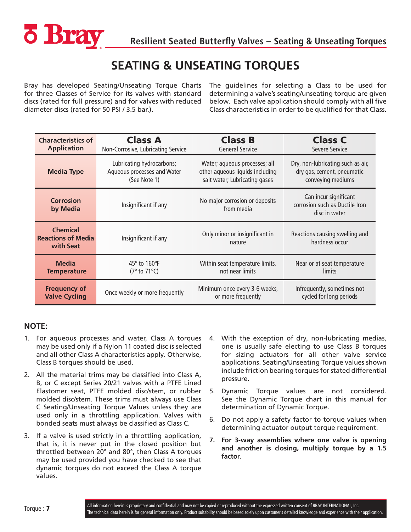<span id="page-6-0"></span>

## **SEATING & UNSEATING TORQUES**

Bray has developed Seating/Unseating Torque Charts for three Classes of Service for its valves with standard discs (rated for full pressure) and for valves with reduced diameter discs (rated for 50 PSI / 3.5 bar.).

The guidelines for selecting a Class to be used for determining a valve's seating/unseating torque are given below. Each valve application should comply with all five Class characteristics in order to be qualified for that Class.

| <b>Characteristics of</b>                                 | <b>Class A</b>                     | <b>Class B</b>                               | <b>Class C</b>                                                           |
|-----------------------------------------------------------|------------------------------------|----------------------------------------------|--------------------------------------------------------------------------|
| <b>Application</b>                                        | Non-Corrosive, Lubricating Service | <b>General Service</b>                       | Severe Service                                                           |
| <b>Media Type</b>                                         | Lubricating hydrocarbons;          | Water; aqueous processes; all                | Dry, non-lubricating such as air,                                        |
|                                                           | Aqueous processes and Water        | other aqueous liquids including              | dry gas, cement, pneumatic                                               |
|                                                           | (See Note 1)                       | salt water; Lubricating gases                | conveying mediums                                                        |
| <b>Corrosion</b><br>by Media                              | Insignificant if any               | No major corrosion or deposits<br>from media | Can incur significant<br>corrosion such as Ductile Iron<br>disc in water |
| <b>Chemical</b><br><b>Reactions of Media</b><br>with Seat | Insignificant if any               | Only minor or insignificant in<br>nature     | Reactions causing swelling and<br>hardness occur                         |
| <b>Media</b>                                              | 45° to 160°F                       | Within seat temperature limits,              | Near or at seat temperature                                              |
| <b>Temperature</b>                                        | (7° to 71°C)                       | not near limits                              | limits                                                                   |
| <b>Frequency of</b>                                       | Once weekly or more frequently     | Minimum once every 3-6 weeks,                | Infrequently, sometimes not                                              |
| <b>Valve Cycling</b>                                      |                                    | or more frequently                           | cycled for long periods                                                  |

#### **NOTE:**

- 1. For aqueous processes and water, Class A torques may be used only if a Nylon 11 coated disc is selected and all other Class A characteristics apply. Otherwise, Class B torques should be used.
- 2. All the material trims may be classified into Class A, B, or C except Series 20/21 valves with a PTFE Lined Elastomer seat, PTFE molded disc/stem, or rubber molded disc/stem. These trims must always use Class C Seating/Unseating Torque Values unless they are used only in a throttling application. Valves with bonded seats must always be classified as Class C.
- 3. If a valve is used strictly in a throttling application, that is, it is never put in the closed position but throttled between 20° and 80°, then Class A torques may be used provided you have checked to see that dynamic torques do not exceed the Class A torque values.
- 4. With the exception of dry, non-lubricating medias, one is usually safe electing to use Class B torques for sizing actuators for all other valve service applications. Seating/Unseating Torque values shown include friction bearing torques for stated differential pressure.
- 5. Dynamic Torque values are not considered. See the Dynamic Torque chart in this manual for determination of Dynamic Torque.
- 6. Do not apply a safety factor to torque values when determining actuator output torque requirement.
- **7. For 3-way assemblies where one valve is opening and another is closing, multiply torque by a 1.5 facto**r.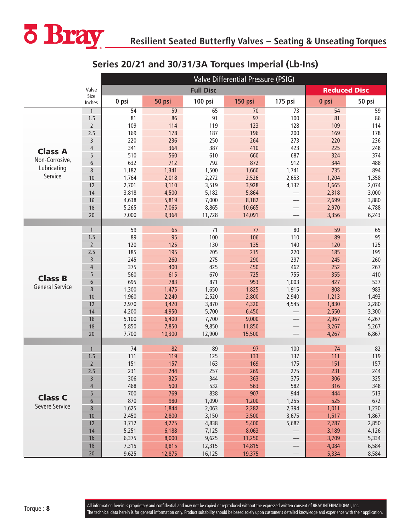<span id="page-7-0"></span>

## **Series 20/21 and 30/31/3A Torques Imperial (Lb-Ins)**

|                        |                |                | Valve Differential Pressure (PSIG) |                  |                  |                          |                     |                |  |  |  |  |
|------------------------|----------------|----------------|------------------------------------|------------------|------------------|--------------------------|---------------------|----------------|--|--|--|--|
|                        | Valve          |                |                                    | <b>Full Disc</b> |                  |                          | <b>Reduced Disc</b> |                |  |  |  |  |
|                        | Size<br>Inches | 0 psi          | 50 psi                             | 100 psi          | 150 psi          | 175 psi                  | 0 psi               | 50 psi         |  |  |  |  |
|                        | $\mathbf{1}$   | 54             | $\overline{59}$                    | 65               | $\overline{70}$  | $\overline{73}$          | 54                  | 59             |  |  |  |  |
|                        | 1.5            | 81             | 86                                 | 91               | 97               | 100                      | 81                  | 86             |  |  |  |  |
|                        | $\overline{2}$ | 109            | 114                                | 119              | 123              | 128                      | 109                 | 114            |  |  |  |  |
|                        | 2.5            | 169            | 178                                | 187              | 196              | 200                      | 169                 | 178            |  |  |  |  |
|                        | 3              | 220            | 236                                | 250              | 264              | 273                      | 220                 | 236            |  |  |  |  |
| <b>Class A</b>         | $\overline{4}$ | 341            | 364                                | 387              | 410              | 423                      | 225                 | 248            |  |  |  |  |
| Non-Corrosive,         | 5              | 510            | 560                                | 610              | 660              | 687                      | 324                 | 374            |  |  |  |  |
| Lubricating            | 6              | 632            | 712                                | 792              | 872              | 912                      | 344                 | 488            |  |  |  |  |
| Service                | 8              | 1,182          | 1,341                              | 1,500            | 1,660            | 1,741                    | 735                 | 894            |  |  |  |  |
|                        | 10             | 1,764          | 2,018                              | 2,272            | 2,526            | 2,653                    | 1,204               | 1,358          |  |  |  |  |
|                        | 12             | 2,701          | 3,110                              | 3,519            | 3,928            | 4,132                    | 1,665               | 2,074          |  |  |  |  |
|                        | 14             | 3,818          | 4,500                              | 5,182            | 5,864            | $\overline{\phantom{0}}$ | 2,318               | 3,000          |  |  |  |  |
|                        | 16             | 4,638          | 5,819                              | 7,000            | 8,182            |                          | 2,699               | 3,880          |  |  |  |  |
|                        | 18<br>20       | 5,265<br>7,000 | 7,065<br>9,364                     | 8,865<br>11,728  | 10,665<br>14,091 |                          | 2,970<br>3,356      | 4,788<br>6,243 |  |  |  |  |
|                        |                |                |                                    |                  |                  | $\overline{\phantom{0}}$ |                     |                |  |  |  |  |
|                        | $\mathbf{1}$   | 59             | 65                                 | 71               | 77               | 80                       | 59                  | 65             |  |  |  |  |
|                        | 1.5            | 89             | 95                                 | 100              | 106              | 110                      | 89                  | 95             |  |  |  |  |
|                        | $\overline{2}$ | 120            | 125                                | 130              | 135              | 140                      | 120                 | 125            |  |  |  |  |
|                        | 2.5            | 185            | 195                                | 205              | 215              | 220                      | 185                 | 195            |  |  |  |  |
|                        | 3              | 245            | 260                                | 275              | 290              | 297                      | 245                 | 260            |  |  |  |  |
|                        | $\overline{4}$ | 375            | 400                                | 425              | 450              | 462                      | 252                 | 267            |  |  |  |  |
|                        | 5              | 560            | 615                                | 670              | 725              | 755                      | 355                 | 410            |  |  |  |  |
| <b>Class B</b>         | 6              | 695            | 783                                | 871              | 953              | 1,003                    | 427                 | 537            |  |  |  |  |
| <b>General Service</b> | 8              | 1,300          | 1,475                              | 1,650            | 1,825            | 1,915                    | 808                 | 983            |  |  |  |  |
|                        | 10             | 1,960          | 2,240                              | 2,520            | 2,800            | 2,940                    | 1,213               | 1,493          |  |  |  |  |
|                        | 12             | 2,970          | 3,420                              | 3,870            | 4,320            | 4,545                    | 1,830               | 2,280          |  |  |  |  |
|                        | 14             | 4,200          | 4,950                              | 5,700            | 6,450            |                          | 2,550               | 3,300          |  |  |  |  |
|                        | 16             | 5,100          | 6,400                              | 7,700            | 9,000            |                          | 2,967               | 4,267          |  |  |  |  |
|                        | 18             | 5,850          | 7,850                              | 9,850            | 11,850           |                          | 3,267               | 5,267          |  |  |  |  |
|                        | 20             | 7,700          | 10,300                             | 12,900           | 15,500           | $\overline{\phantom{0}}$ | 4,267               | 6,867          |  |  |  |  |
|                        |                |                |                                    |                  |                  |                          |                     |                |  |  |  |  |
|                        | $\mathbf{1}$   | 74             | 82                                 | 89               | 97               | 100                      | 74                  | 82             |  |  |  |  |
|                        | 1.5            | 111            | 119                                | 125              | 133              | 137                      | 111                 | 119            |  |  |  |  |
|                        | $\overline{2}$ | 151            | 157                                | 163              | 169              | 175                      | 151                 | 157            |  |  |  |  |
|                        | 2.5            | 231            | 244                                | 257              | 269              | 275                      | 231                 | 244            |  |  |  |  |
|                        | 3              | 306            | 325                                | 344              | 363              | 375                      | 306                 | 325            |  |  |  |  |
|                        | 4              | 468            | 500                                | 532              | 563              | 582                      | 316                 | 348            |  |  |  |  |
| <b>Class C</b>         | 5              | 700            | 769                                | 838              | 907              | 944                      | 444                 | 513            |  |  |  |  |
| Severe Service         | 6              | 870            | 980                                | 1,090            | 1,200            | 1,255                    | 525                 | 672            |  |  |  |  |
|                        | $\bf 8$        | 1,625          | 1,844                              | 2,063            | 2,282            | 2,394                    | 1,011               | 1,230          |  |  |  |  |
|                        | 10<br>12       | 2,450          | 2,800                              | 3,150            | 3,500            | 3,675                    | 1,517               | 1,867          |  |  |  |  |
|                        | 14             | 3,712<br>5,251 | 4,275<br>6,188                     | 4,838<br>7,125   | 5,400<br>8,063   | 5,682<br>——<br>——        | 2,287<br>3,189      | 2,850<br>4,126 |  |  |  |  |
|                        | 16             | 6,375          | 8,000                              | 9,625            | 11,250           |                          | 3,709               | 5,334          |  |  |  |  |
|                        | 18             | 7,315          | 9,815                              | 12,315           | 14,815           |                          | 4,084               | 6,584          |  |  |  |  |
|                        | 20             | 9,625          | 12,875                             | 16,125           | 19,375           | $\overline{\phantom{0}}$ | 5,334               | 8,584          |  |  |  |  |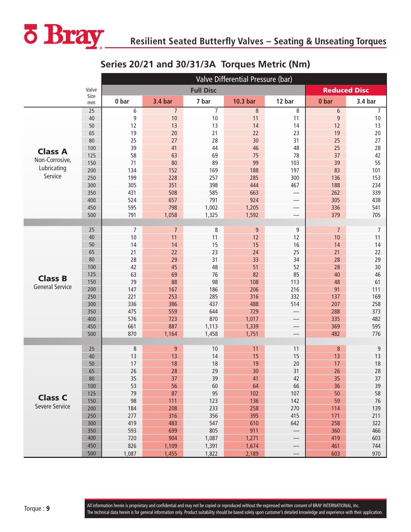<span id="page-8-0"></span>

## **Series 20/21 and 30/31/3A Torques Metric (Nm)**

|                        |            |                | Valve Differential Pressure (bar) |                  |                  |                          |                        |                |  |  |  |  |
|------------------------|------------|----------------|-----------------------------------|------------------|------------------|--------------------------|------------------------|----------------|--|--|--|--|
|                        | Valve      |                |                                   | <b>Full Disc</b> |                  |                          | <b>Reduced Disc</b>    |                |  |  |  |  |
|                        | Size<br>mm | 0 bar          | <b>3.4 bar</b>                    | 7 bar            | 10.3 bar         | 12 bar                   | 0 bar                  | 3.4 bar        |  |  |  |  |
|                        | 25         | 6              | $\overline{7}$                    | $\overline{7}$   | $\,8\,$          | 8                        | 6                      | $\overline{7}$ |  |  |  |  |
|                        | 40         | 9              | 10                                | 10               | 11               | 11                       | 9                      | $10$           |  |  |  |  |
|                        | 50         | 12             | 13                                | 13               | 14               | 14                       | 12                     | 13             |  |  |  |  |
|                        | 65         | 19             | 20                                | 21               | 22               | 23                       | 19                     | 20             |  |  |  |  |
|                        | 80         | 25             | 27                                | 28               | 30               | 31                       | 25                     | 27             |  |  |  |  |
| <b>Class A</b>         | 100        | 39             | 41                                | 44               | 46               | 48                       | 25                     | 28             |  |  |  |  |
| Non-Corrosive,         | 125        | 58             | 63                                | 69               | 75               | 78                       | 37                     | 42             |  |  |  |  |
| Lubricating            | 150        | 71<br>134      | 80<br>152                         | 89<br>169        | 99<br>188        | 103                      | 39                     | 55             |  |  |  |  |
| Service                | 200<br>250 | 199            |                                   | 257              | 285              | 197<br>300               | 83<br>136              | 101            |  |  |  |  |
|                        | 300        | 305            | 228<br>351                        | 398              | 444              | 467                      | 188                    | 153<br>234     |  |  |  |  |
|                        | 350        | 431            | 508                               | 585              | 663              | $\overline{\phantom{0}}$ | 262                    | 339            |  |  |  |  |
|                        | 400        | 524            | 657                               | 791              | 924              |                          | 305                    | 438            |  |  |  |  |
|                        | 450        | 595            | 798                               | 1,002            | 1,205            |                          | 336                    | 541            |  |  |  |  |
|                        | 500        | 791            | 1,058                             | 1,325            | 1,592            | $\overline{\phantom{0}}$ | 379                    | 705            |  |  |  |  |
|                        |            |                |                                   |                  |                  |                          |                        |                |  |  |  |  |
|                        | 25         | $\overline{7}$ | $\overline{7}$                    | 8                | $\boldsymbol{9}$ | 9                        | $\overline{7}$         | $\overline{7}$ |  |  |  |  |
|                        | 40         | 10             | 11                                | 11               | 12               | 12                       | 10                     | 11             |  |  |  |  |
|                        | 50         | 14             | 14                                | 15               | 15               | 16                       | 14                     | 14             |  |  |  |  |
|                        | 65         | 21             | 22                                | 23               | 24               | 25                       | 21                     | 22             |  |  |  |  |
|                        | 80         | 28             | 29                                | 31               | 33               | 34                       | 28                     | 29             |  |  |  |  |
|                        | 100        | 42             | 45                                | 48               | 51               | 52                       | 28                     | 30             |  |  |  |  |
| <b>Class B</b>         | 125        | 63             | 69                                | 76               | 82               | 85                       | 40                     | 46             |  |  |  |  |
|                        | 150        | 79             | 88                                | 98               | 108              | 113                      | 48                     | 61             |  |  |  |  |
| <b>General Service</b> | 200        | 147            | 167                               | 186              | 206              | 216                      | 91                     | 111            |  |  |  |  |
|                        | 250        | 221            | 253                               | 285              | 316              | 332                      | 137                    | 169            |  |  |  |  |
|                        | 300        | 336            | 386                               | 437              | 488              | 514                      | 207                    | 258            |  |  |  |  |
|                        | 350        | 475            | 559                               | 644              | 729              | $\overline{\phantom{0}}$ | 288                    | 373            |  |  |  |  |
|                        | 400        | 576            | 723                               | 870              | 1,017            |                          | 335                    | 482            |  |  |  |  |
|                        | 450        | 661            | 887                               | 1,113            | 1,339            |                          | 369                    | 595            |  |  |  |  |
|                        | 500        | 870            | 1,164                             | 1,458            | 1,751            | $\overline{\phantom{0}}$ | 482                    | 776            |  |  |  |  |
|                        |            |                |                                   |                  |                  |                          |                        |                |  |  |  |  |
|                        | 25<br>40   | $\,8\,$<br>13  | $\boldsymbol{9}$<br>13            | 10<br>14         | 11<br>15         | 11<br>15                 | $\boldsymbol{8}$<br>13 | 9<br>13        |  |  |  |  |
|                        | 50         | 17             | 18                                | 18               | 19               | 20                       | 17                     | 18             |  |  |  |  |
|                        | 65         | 26             | 28                                | 29               | 30               | 31                       | 26                     | 28             |  |  |  |  |
|                        | 80         | 35             | 37                                | 39               | 41               | 42                       | 35                     | 37             |  |  |  |  |
|                        | 100        | 53             | 56                                | 60               | 64               | 66                       | 36                     | 39             |  |  |  |  |
|                        | 125        | 79             | 87                                | 95               | 102              | 107                      | 50                     | 58             |  |  |  |  |
| <b>Class C</b>         | 150        | 98             | 111                               | 123              | 136              | 142                      | 59                     | 76             |  |  |  |  |
| Severe Service         | 200        | 184            | 208                               | 233              | 258              | 270                      | 114                    | 139            |  |  |  |  |
|                        | 250        | 277            | 316                               | 356              | 395              | 415                      | 171                    | 211            |  |  |  |  |
|                        | 300        | 419            | 483                               | 547              | 610              | 642                      | 258                    | 322            |  |  |  |  |
|                        | 350        | 593            | 699                               | 805              | 911              | $\overline{\phantom{0}}$ | 360                    | 466            |  |  |  |  |
|                        | 400        | 720            | 904                               | 1,087            | 1,271            | $\hspace{0.05cm}$        | 419                    | 603            |  |  |  |  |
|                        | 450        | 826            | 1,109                             | 1,391            | 1,674            | $\overline{\phantom{m}}$ | 461                    | 744            |  |  |  |  |
|                        | 500        | 1,087          | 1,455                             | 1,822            | 2,189            | $\overline{\phantom{0}}$ | 603                    | 970            |  |  |  |  |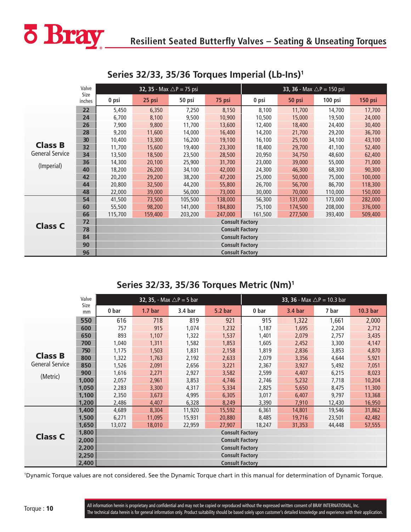<span id="page-9-0"></span>

|                        | Valve          |         | <b>32, 35</b> - Max $\triangle P = 75$ psi |         |                        |         | <b>33, 36</b> - Max $\triangle$ P = 150 psi |         |                |
|------------------------|----------------|---------|--------------------------------------------|---------|------------------------|---------|---------------------------------------------|---------|----------------|
|                        | Size<br>inches | 0 psi   | 25 psi                                     | 50 psi  | 75 psi                 | 0 psi   | 50 psi                                      | 100 psi | <b>150 psi</b> |
|                        | 22             | 5,450   | 6,350                                      | 7,250   | 8,150                  | 8,100   | 11,700                                      | 14,700  | 17,700         |
|                        | 24             | 6,700   | 8,100                                      | 9,500   | 10,900                 | 10,500  | 15,000                                      | 19,500  | 24,000         |
|                        | 26             | 7,900   | 9,800                                      | 11,700  | 13,600                 | 12,400  | 18,400                                      | 24,400  | 30,400         |
|                        | 28             | 9,200   | 11,600                                     | 14,000  | 16,400                 | 14,200  | 21,700                                      | 29,200  | 36,700         |
|                        | 30             | 10,400  | 13,300                                     | 16,200  | 19,100                 | 16,100  | 25,100                                      | 34,100  | 43,100         |
| <b>Class B</b>         | 32             | 11,700  | 15,600                                     | 19,400  | 23,300                 | 18,400  | 29,700                                      | 41,100  | 52,400         |
| <b>General Service</b> | 34             | 13,500  | 18,500                                     | 23,500  | 28,500                 | 20,950  | 34,750                                      | 48,600  | 62,400         |
| (Imperial)             | 36             | 14,300  | 20,100                                     | 25,900  | 31,700                 | 23,000  | 39,000                                      | 55,000  | 71,000         |
|                        | 40             | 18,200  | 26,200                                     | 34,100  | 42,000                 | 24,300  | 46,300                                      | 68,300  | 90,300         |
|                        | 42             | 20,200  | 29,200                                     | 38,200  | 47,200                 | 25,000  | 50,000                                      | 75,000  | 100,000        |
|                        | 44             | 20,800  | 32,500                                     | 44,200  | 55,800                 | 26,700  | 56,700                                      | 86,700  | 118,300        |
|                        | 48             | 22,000  | 39,000                                     | 56,000  | 73,000                 | 30,000  | 70,000                                      | 110,000 | 150,000        |
|                        | 54             | 41,500  | 73,500                                     | 105,500 | 138,000                | 56,300  | 131,000                                     | 173,000 | 282,000        |
|                        | 60             | 55,500  | 98,200                                     | 141,000 | 184,800                | 75,100  | 174,500                                     | 208,000 | 376,000        |
|                        | 66             | 115,700 | 159,400                                    | 203,200 | 247,000                | 161,500 | 277,500                                     | 393,400 | 509,400        |
| <b>Class C</b>         | 72             |         |                                            |         | <b>Consult Factory</b> |         |                                             |         |                |
|                        | 78             |         |                                            |         | <b>Consult Factory</b> |         |                                             |         |                |
|                        | 84             |         |                                            |         | <b>Consult Factory</b> |         |                                             |         |                |
|                        | 90             |         |                                            |         | <b>Consult Factory</b> |         |                                             |         |                |
|                        | 96             |         |                                            |         | <b>Consult Factory</b> |         |                                             |         |                |

## **Series 32/33, 35/36 Torques Imperial (Lb-Ins)1**

## **Series 32/33, 35/36 Torques Metric (Nm)1**

|                        | Valve      |                        |                        | <b>32, 35,</b> - Max $\triangle P = 5$ bar |                        |        | <b>33, 36</b> - Max $\triangle$ P = 10.3 bar |        |          |  |
|------------------------|------------|------------------------|------------------------|--------------------------------------------|------------------------|--------|----------------------------------------------|--------|----------|--|
|                        | Size<br>mm | 0 bar                  | 1.7 <sub>bar</sub>     | 3.4 bar                                    | <b>5.2 bar</b>         | 0 bar  | 3.4 bar                                      | 7 bar  | 10.3 bar |  |
|                        | 550        | 616                    | 718                    | 819                                        | 921                    | 915    | 1,322                                        | 1,661  | 2,000    |  |
|                        | 600        | 757                    | 915                    | 1,074                                      | 1,232                  | 1,187  | 1,695                                        | 2,204  | 2,712    |  |
|                        | 650        | 893                    | 1,107                  | 1,322                                      | 1,537                  | 1,401  | 2,079                                        | 2,757  | 3,435    |  |
|                        | 700        | 1,040                  | 1,311                  | 1,582                                      | 1,853                  | 1,605  | 2,452                                        | 3,300  | 4,147    |  |
|                        | 750        | 1,175                  | 1,503                  | 1,831                                      | 2,158                  | 1,819  | 2,836                                        | 3,853  | 4,870    |  |
| <b>Class B</b>         | 800        | 1,322                  | 1,763                  | 2,192                                      | 2,633                  | 2,079  | 3,356                                        | 4,644  | 5,921    |  |
| <b>General Service</b> | 850        | 1,526                  | 2,091                  | 2,656                                      | 3,221                  | 2,367  | 3,927                                        | 5,492  | 7,051    |  |
| (Metric)               | 900        | 1,616                  | 2,271                  | 2,927                                      | 3,582                  | 2,599  | 4,407                                        | 6,215  | 8,023    |  |
|                        | 1,000      | 2,057                  | 2,961                  | 3,853                                      | 4,746                  | 2,746  | 5,232                                        | 7,718  | 10,204   |  |
|                        | 1,050      | 2,283                  | 3,300                  | 4,317                                      | 5,334                  | 2,825  | 5,650                                        | 8,475  | 11,300   |  |
|                        | 1,100      | 2,350                  | 3,673                  | 4,995                                      | 6,305                  | 3,017  | 6,407                                        | 9,797  | 13,368   |  |
|                        | 1,200      | 2,486                  | 4,407                  | 6,328                                      | 8,249                  | 3,390  | 7,910                                        | 12,430 | 16,950   |  |
|                        | 1,400      | 4,689                  | 8,304                  | 11,920                                     | 15,592                 | 6,361  | 14,801                                       | 19,546 | 31,862   |  |
|                        | 1,500      | 6,271                  | 11,095                 | 15,931                                     | 20,880                 | 8,485  | 19,716                                       | 23,501 | 42,482   |  |
|                        | 1,650      | 13,072                 | 18,010                 | 22,959                                     | 27,907                 | 18,247 | 31,353                                       | 44,448 | 57,555   |  |
| <b>Class C</b>         | 1,800      |                        | <b>Consult Factory</b> |                                            |                        |        |                                              |        |          |  |
|                        | 2,000      | <b>Consult Factory</b> |                        |                                            |                        |        |                                              |        |          |  |
|                        | 2,200      | <b>Consult Factory</b> |                        |                                            |                        |        |                                              |        |          |  |
|                        | 2,250      |                        |                        |                                            | <b>Consult Factory</b> |        |                                              |        |          |  |
|                        | 2,400      |                        |                        |                                            | <b>Consult Factory</b> |        |                                              |        |          |  |

1 Dynamic Torque values are not considered. See the Dynamic Torque chart in this manual for determination of Dynamic Torque.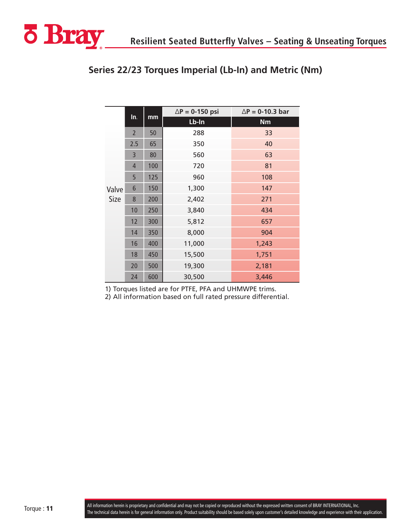

|       |                |     | $\Delta P = 0-150$ psi | $\Delta P = 0-10.3$ bar |
|-------|----------------|-----|------------------------|-------------------------|
|       | In.            | mm  | Lb-In                  | <b>Nm</b>               |
|       | $\overline{2}$ | 50  | 288                    | 33                      |
|       | 2.5            | 65  | 350                    | 40                      |
|       | 3              | 80  | 560                    | 63                      |
|       | $\overline{4}$ | 100 | 720                    | 81                      |
|       | 5              | 125 | 960                    | 108                     |
| Valve | 6              | 150 | 1,300                  | 147                     |
| Size  | 8              | 200 | 2,402                  | 271                     |
|       | 10             | 250 | 3,840                  | 434                     |
|       | 12             | 300 | 5,812                  | 657                     |
|       | 14             | 350 | 8,000                  | 904                     |
|       | 16             | 400 | 11,000                 | 1,243                   |
|       | 18             | 450 | 15,500                 | 1,751                   |
|       | 20             | 500 | 19,300                 | 2,181                   |
|       | 24             | 600 | 30,500                 | 3,446                   |

## **Series 22/23 Torques Imperial (Lb-In) and Metric (Nm)**

1) Torques listed are for PTFE, PFA and UHMWPE trims.

2) All information based on full rated pressure differential.

<span id="page-10-0"></span>**ö Bray**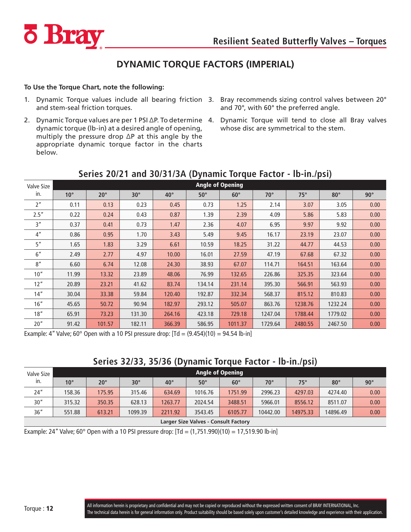<span id="page-11-0"></span>

## **DYNAMIC TORQUE FACTORS (IMPERIAL)**

#### **To Use the Torque Chart, note the following:**

- 1. Dynamic Torque values include all bearing friction 3. Bray recommends sizing control valves between 20° and stem-seal friction torques.
- 2. Dynamic Torque values are per 1 PSI ∆P. To determine dynamic torque (lb-in) at a desired angle of opening, multiply the pressure drop ∆P at this angle by the appropriate dynamic torque factor in the charts below.
- and 70°, with 60° the preferred angle.
- Dynamic Torque will tend to close all Bray valves whose disc are symmetrical to the stem.

| Valve Size      |              |              |            |              |            | <b>Angle of Opening</b> |            |            |            |            |
|-----------------|--------------|--------------|------------|--------------|------------|-------------------------|------------|------------|------------|------------|
| in.             | $10^{\circ}$ | $20^{\circ}$ | $30^\circ$ | $40^{\circ}$ | $50^\circ$ | $60^\circ$              | $70^\circ$ | $75^\circ$ | $80^\circ$ | $90^\circ$ |
| 2 <sup>n</sup>  | 0.11         | 0.13         | 0.23       | 0.45         | 0.73       | 1.25                    | 2.14       | 3.07       | 3.05       | 0.00       |
| 2.5''           | 0.22         | 0.24         | 0.43       | 0.87         | 1.39       | 2.39                    | 4.09       | 5.86       | 5.83       | 0.00       |
| 3"              | 0.37         | 0.41         | 0.73       | 1.47         | 2.36       | 4.07                    | 6.95       | 9.97       | 9.92       | 0.00       |
| 4 <sup>''</sup> | 0.86         | 0.95         | 1.70       | 3.43         | 5.49       | 9.45                    | 16.17      | 23.19      | 23.07      | 0.00       |
| 5"              | 1.65         | 1.83         | 3.29       | 6.61         | 10.59      | 18.25                   | 31.22      | 44.77      | 44.53      | 0.00       |
| 6''             | 2.49         | 2.77         | 4.97       | 10.00        | 16.01      | 27.59                   | 47.19      | 67.68      | 67.32      | 0.00       |
| 8''             | 6.60         | 6.74         | 12.08      | 24.30        | 38.93      | 67.07                   | 114.71     | 164.51     | 163.64     | 0.00       |
| 10''            | 11.99        | 13.32        | 23.89      | 48.06        | 76.99      | 132.65                  | 226.86     | 325.35     | 323.64     | 0.00       |
| 12"             | 20.89        | 23.21        | 41.62      | 83.74        | 134.14     | 231.14                  | 395.30     | 566.91     | 563.93     | 0.00       |
| 14''            | 30.04        | 33.38        | 59.84      | 120.40       | 192.87     | 332.34                  | 568.37     | 815.12     | 810.83     | 0.00       |
| 16"             | 45.65        | 50.72        | 90.94      | 182.97       | 293.12     | 505.07                  | 863.76     | 1238.76    | 1232.24    | 0.00       |
| 18"             | 65.91        | 73.23        | 131.30     | 264.16       | 423.18     | 729.18                  | 1247.04    | 1788.44    | 1779.02    | 0.00       |
| 20''            | 91.42        | 101.57       | 182.11     | 366.39       | 586.95     | 1011.37                 | 1729.64    | 2480.55    | 2467.50    | 0.00       |

## **Series 20/21 and 30/31/3A (Dynamic Torque Factor - lb-in./psi)**

Example: 4" Valve; 60 $^{\circ}$  Open with a 10 PSI pressure drop:  $\text{[Td} = (9.454)(10) = 94.54 \text{ [b-in]}$ 

## **Series 32/33, 35/36 (Dynamic Torque Factor - lb-in./psi)**

| Valve Size |                                      |              |            |              |            | <b>Angle of Opening</b> |              |            |            |            |  |  |
|------------|--------------------------------------|--------------|------------|--------------|------------|-------------------------|--------------|------------|------------|------------|--|--|
| In.        | $10^{\circ}$                         | $20^{\circ}$ | $30^\circ$ | $40^{\circ}$ | $50^\circ$ | $60^\circ$              | $70^{\circ}$ | $75^\circ$ | $80^\circ$ | $90^\circ$ |  |  |
| 24''       | 158.36                               | 175.95       | 315.46     | 634.69       | 1016.76    | 1751.99                 | 2996.23      | 4297.03    | 4274.40    | 0.00       |  |  |
| 30''       | 315.32                               | 350.35       | 628.13     | 1263.77      | 2024.54    | 3488.51                 | 5966.01      | 8556.12    | 8511.07    | 0.00       |  |  |
| 36"        | 551.88                               | 613.21       | 1099.39    | 2211.92      | 3543.45    | 6105.77                 | 10442.00     | 14975.33   | 14896.49   | 0.00       |  |  |
|            | Launan Clas Mahina - Canault Fastanu |              |            |              |            |                         |              |            |            |            |  |  |

**Larger Size Valves - Consult Factory**

Example: 24" Valve; 60° Open with a 10 PSI pressure drop:  $[\text{Td} = (1,751.990)(10) = 17,519.90$  lb-in]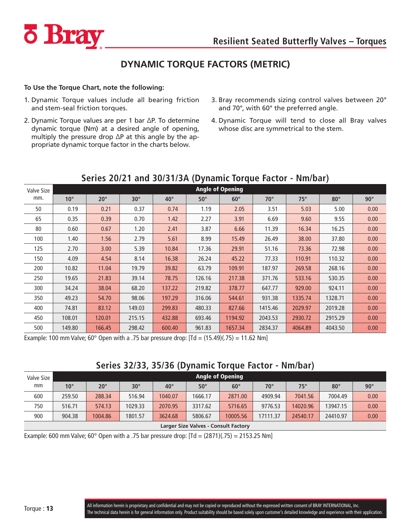<span id="page-12-0"></span>

## **DYNAMIC TORQUE FACTORS (METRIC)**

#### **To Use the Torque Chart, note the following:**

- 1. Dynamic Torque values include all bearing friction and stem-seal friction torques.
- 2. Dynamic Torque values are per 1 bar ∆P. To determine dynamic torque (Nm) at a desired angle of opening, multiply the pressure drop ∆P at this angle by the appropriate dynamic torque factor in the charts below.
- 3. Bray recommends sizing control valves between 20° and 70°, with 60° the preferred angle.
- 4. Dynamic Torque will tend to close all Bray valves whose disc are symmetrical to the stem.

|                   |              |              |            |              |            |                         |            |            | $\mathbf{r}$ |            |
|-------------------|--------------|--------------|------------|--------------|------------|-------------------------|------------|------------|--------------|------------|
| <b>Valve Size</b> |              |              |            |              |            | <b>Angle of Opening</b> |            |            |              |            |
| mm.               | $10^{\circ}$ | $20^{\circ}$ | $30^\circ$ | $40^{\circ}$ | $50^\circ$ | $60^\circ$              | $70^\circ$ | $75^\circ$ | $80^\circ$   | $90^\circ$ |
| 50                | 0.19         | 0.21         | 0.37       | 0.74         | 1.19       | 2.05                    | 3.51       | 5.03       | 5.00         | 0.00       |
| 65                | 0.35         | 0.39         | 0.70       | 1.42         | 2.27       | 3.91                    | 6.69       | 9.60       | 9.55         | 0.00       |
| 80                | 0.60         | 0.67         | 1.20       | 2.41         | 3.87       | 6.66                    | 11.39      | 16.34      | 16.25        | 0.00       |
| 100               | 1.40         | 1.56         | 2.79       | 5.61         | 8.99       | 15.49                   | 26.49      | 38,00      | 37.80        | 0.00       |
| 125               | 2.70         | 3.00         | 5.39       | 10.84        | 17.36      | 29.91                   | 51.16      | 73.36      | 72.98        | 0.00       |
| 150               | 4.09         | 4.54         | 8.14       | 16.38        | 26.24      | 45.22                   | 77.33      | 110.91     | 110.32       | 0.00       |
| 200               | 10.82        | 11.04        | 19.79      | 39.82        | 63.79      | 109.91                  | 187.97     | 269.58     | 268.16       | 0.00       |
| 250               | 19.65        | 21.83        | 39.14      | 78.75        | 126.16     | 217.38                  | 371.76     | 533.16     | 530.35       | 0.00       |
| 300               | 34.24        | 38.04        | 68.20      | 137.22       | 219.82     | 378.77                  | 647.77     | 929.00     | 924.11       | 0.00       |
| 350               | 49.23        | 54.70        | 98.06      | 197.29       | 316.06     | 544.61                  | 931.38     | 1335.74    | 1328.71      | 0.00       |
| 400               | 74.81        | 83.12        | 149.03     | 299.83       | 480.33     | 827.66                  | 1415.46    | 2029.97    | 2019.28      | 0.00       |
| 450               | 108.01       | 120.01       | 215.15     | 432.88       | 693.46     | 1194.92                 | 2043.53    | 2930.72    | 2915.29      | 0.00       |
| 500               | 149.80       | 166.45       | 298.42     | 600.40       | 961.83     | 1657.34                 | 2834.37    | 4064.89    | 4043.50      | 0.00       |

## **Series 20/21 and 30/31/3A (Dynamic Torque Factor - Nm/bar)**

Example: 100 mm Valve; 60° Open with a .75 bar pressure drop:  $[\text{Td} = (15.49)(.75) = 11.62 \text{ Nm}]$ 

## **Series 32/33, 35/36 (Dynamic Torque Factor - Nm/bar)**

| Valve Size                           |              |              |            |              |            | Angle of Opening |              |            |              |            |  |
|--------------------------------------|--------------|--------------|------------|--------------|------------|------------------|--------------|------------|--------------|------------|--|
| mm                                   | $10^{\circ}$ | $20^{\circ}$ | $30^\circ$ | $40^{\circ}$ | $50^\circ$ | $60^\circ$       | $70^{\circ}$ | $75^\circ$ | $80^{\circ}$ | $90^\circ$ |  |
| 600                                  | 259.50       | 288.34       | 516.94     | 1040.07      | 1666.17    | 2871.00          | 4909.94      | 7041.56    | 7004.49      | 0.00       |  |
| 750                                  | 516.71       | 574.13       | 1029.33    | 2070.95      | 3317.62    | 5716.65          | 9776.53      | 14020.96   | 13947.15     | 0.00       |  |
| 900                                  | 904.38       | 1004.86      | 1801.57    | 3624.68      | 5806.67    | 10005.56         | 17111.37     | 24540.17   | 24410.97     | 0.00       |  |
| Larger Size Valves - Consult Factory |              |              |            |              |            |                  |              |            |              |            |  |

Example: 600 mm Valve; 60° Open with a .75 bar pressure drop:  $[\text{Td} = (2871)(.75) = 2153.25 \text{ Nm}]$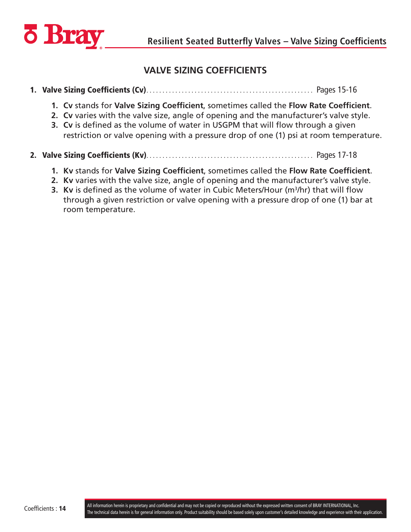<span id="page-13-0"></span>

## **VALVE SIZING COEFFICIENTS**

## 1. Valve Sizing Coefficients (Cv) . . . . . . . . . . . . . . . . . . . . . . . . . . . . . . . . . . . . . . . . . . . . . . . . . . . . Pages 15-16

- **1. Cv** stands for **Valve Sizing Coefficient**, sometimes called the **Flow Rate Coefficient**.
- **2. Cv** varies with the valve size, angle of opening and the manufacturer's valve style.
- **3. Cv** is defined as the volume of water in USGPM that will flow through a given restriction or valve opening with a pressure drop of one (1) psi at room temperature.
- 2. Valve Sizing Coefficients (Kv) . . . . . . . . . . . . . . . . . . . . . . . . . . . . . . . . . . . . . . . . . . . . . . . . . . . . Pages 17-18
	- **1. Kv** stands for **Valve Sizing Coefficient**, sometimes called the **Flow Rate Coefficient**.
	- **2. Kv** varies with the valve size, angle of opening and the manufacturer's valve style.
	- **3. Kv** is defined as the volume of water in Cubic Meters/Hour (m<sup>3</sup>/hr) that will flow through a given restriction or valve opening with a pressure drop of one (1) bar at room temperature.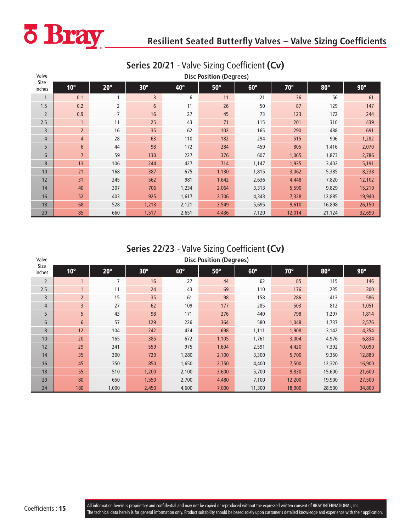<span id="page-14-0"></span>

| Valve          |                 | <b>Disc Position (Degrees)</b> |            |       |            |            |            |            |            |  |  |
|----------------|-----------------|--------------------------------|------------|-------|------------|------------|------------|------------|------------|--|--|
| Size<br>inches | $10^{\circ}$    | $20^{\circ}$                   | $30^\circ$ | 40°   | $50^\circ$ | $60^\circ$ | $70^\circ$ | $80^\circ$ | $90^\circ$ |  |  |
| $\mathbf{1}$   | 0.1             | 1                              | 3          | 6     | 11         | 21         | 36         | 56         | 61         |  |  |
| 1.5            | 0.2             | 2                              | 6          | 11    | 26         | 50         | 87         | 129        | 147        |  |  |
| $\overline{2}$ | 0.9             | 7                              | 16         | 27    | 45         | 73         | 123        | 172        | 244        |  |  |
| 2.5            | $\mathbf{1}$    | 11                             | 25         | 43    | 71         | 115        | 201        | 310        | 439        |  |  |
| 3              | $\overline{2}$  | 16                             | 35         | 62    | 102        | 165        | 290        | 488        | 691        |  |  |
| $\overline{4}$ | $\overline{4}$  | 28                             | 63         | 110   | 182        | 294        | 515        | 906        | 1,282      |  |  |
| 5              | $6\phantom{1}6$ | 44                             | 98         | 172   | 284        | 459        | 805        | 1,416      | 2,070      |  |  |
| $6\phantom{1}$ | $\overline{7}$  | 59                             | 130        | 227   | 376        | 607        | 1,065      | 1,873      | 2,786      |  |  |
| 8              | 13              | 106                            | 244        | 427   | 714        | 1,147      | 1,935      | 3,402      | 5,191      |  |  |
| 10             | 21              | 168                            | 387        | 675   | 1,130      | 1,815      | 3,062      | 5,385      | 8,238      |  |  |
| 12             | 31              | 245                            | 562        | 981   | 1,642      | 2,636      | 4,448      | 7,820      | 12,102     |  |  |
| 14             | 40              | 307                            | 706        | 1,234 | 2,064      | 3,313      | 5,590      | 9,829      | 15,210     |  |  |
| 16             | 52              | 403                            | 925        | 1,617 | 2,706      | 4,343      | 7,328      | 12,885     | 19,940     |  |  |
| 18             | 68              | 528                            | 1,213      | 2,121 | 3,549      | 5,695      | 9,610      | 16,898     | 26,150     |  |  |
| 20             | 85              | 660                            | 1,517      | 2,651 | 4,436      | 7,120      | 12,014     | 21,124     | 32,690     |  |  |

## **Series 20/21** - Valve Sizing Coefficient **(Cv)**

## **Series 22/23** - Valve Sizing Coefficient **(Cv)**

| Valve          |              | <b>Disc Position (Degrees)</b> |            |       |            |            |            |            |            |  |  |  |
|----------------|--------------|--------------------------------|------------|-------|------------|------------|------------|------------|------------|--|--|--|
| Size<br>inches | $10^{\circ}$ | $20^\circ$                     | $30^\circ$ | 40°   | $50^\circ$ | $60^\circ$ | $70^\circ$ | $80^\circ$ | $90^\circ$ |  |  |  |
| $\overline{2}$ |              | 7                              | 16         | 27    | 44         | 62         | 85         | 115        | 146        |  |  |  |
| 2.5            | $\mathbf{1}$ | 11                             | 24         | 43    | 69         | 110        | 176        | 235        | 300        |  |  |  |
| 3              | $2^{\circ}$  | 15                             | 35         | 61    | 98         | 158        | 286        | 413        | 586        |  |  |  |
| $\overline{4}$ | 3            | 27                             | 62         | 109   | 177        | 285        | 503        | 812        | 1,051      |  |  |  |
| 5              | 5            | 43                             | 98         | 171   | 276        | 440        | 798        | 1,297      | 1,814      |  |  |  |
| 6              | 6            | 57                             | 129        | 226   | 364        | 580        | 1,048      | 1,737      | 2,576      |  |  |  |
| 8              | 12           | 104                            | 242        | 424   | 698        | 1,111      | 1,908      | 3,142      | 4,354      |  |  |  |
| 10             | 20           | 165                            | 385        | 672   | 1,105      | 1,761      | 3,004      | 4,976      | 6,834      |  |  |  |
| 12             | 29           | 241                            | 559        | 975   | 1,604      | 2,591      | 4,420      | 7,392      | 10,090     |  |  |  |
| 14             | 35           | 300                            | 720        | 1,280 | 2,100      | 3,300      | 5,700      | 9,350      | 12,880     |  |  |  |
| 16             | 45           | 350                            | 850        | 1,650 | 2,750      | 4,400      | 7,500      | 12,320     | 16,900     |  |  |  |
| 18             | 55           | 510                            | 1,200      | 2,100 | 3,600      | 5,700      | 9,830      | 15,600     | 21,600     |  |  |  |
| 20             | 80           | 650                            | 1,550      | 2,700 | 4,480      | 7,100      | 12,200     | 19,900     | 27,500     |  |  |  |
| 24             | 180          | 1,000                          | 2,450      | 4,600 | 7,000      | 11,300     | 18,900     | 28,500     | 34,800     |  |  |  |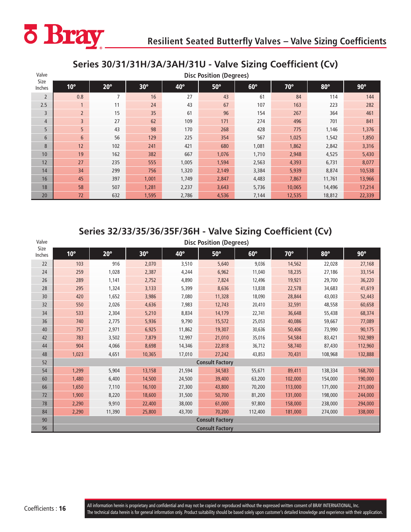<span id="page-15-0"></span>

## **Series 30/31/31H/3A/3AH/31U - Valve Sizing Coefficient (Cv)**

| Valve          | <b>Disc Position (Degrees)</b> |                |            |       |            |            |            |            |            |  |
|----------------|--------------------------------|----------------|------------|-------|------------|------------|------------|------------|------------|--|
| Size<br>Inches | $10^{\circ}$                   | $20^{\circ}$   | $30^\circ$ | 40°   | $50^\circ$ | $60^\circ$ | $70^\circ$ | $80^\circ$ | $90^\circ$ |  |
| $\overline{2}$ | 0.8                            | $\overline{7}$ | 16         | 27    | 43         | 61         | 84         | 114        | 144        |  |
| 2.5            | $\overline{1}$                 | 11             | 24         | 43    | 67         | 107        | 163        | 223        | 282        |  |
| 3              | $\overline{2}$                 | 15             | 35         | 61    | 96         | 154        | 267        | 364        | 461        |  |
| $\overline{4}$ | $\overline{3}$                 | 27             | 62         | 109   | 171        | 274        | 496        | 701        | 841        |  |
| 5              | 5 <sup>5</sup>                 | 43             | 98         | 170   | 268        | 428        | 775        | 1,146      | 1,376      |  |
| 6              | 6                              | 56             | 129        | 225   | 354        | 567        | 1,025      | 1,542      | 1,850      |  |
| 8              | 12                             | 102            | 241        | 421   | 680        | 1,081      | 1,862      | 2,842      | 3,316      |  |
| 10             | 19                             | 162            | 382        | 667   | 1,076      | 1,710      | 2,948      | 4,525      | 5,430      |  |
| 12             | 27                             | 235            | 555        | 1,005 | 1,594      | 2,563      | 4,393      | 6,731      | 8,077      |  |
| 14             | 34                             | 299            | 756        | 1,320 | 2,149      | 3,384      | 5,939      | 8,874      | 10,538     |  |
| 16             | 45                             | 397            | 1,001      | 1,749 | 2,847      | 4,483      | 7,867      | 11,761     | 13,966     |  |
| 18             | 58                             | 507            | 1,281      | 2,237 | 3,643      | 5,736      | 10,065     | 14,496     | 17,214     |  |
| 20             | 72                             | 632            | 1,595      | 2,786 | 4,536      | 7,144      | 12,535     | 18,812     | 22,339     |  |

## **Series 32/33/35/36/35F/36H - Valve Sizing Coefficient (Cv)**

| Valve          | <b>Disc Position (Degrees)</b> |              |            |        |                        |            |            |            |            |
|----------------|--------------------------------|--------------|------------|--------|------------------------|------------|------------|------------|------------|
| Size<br>Inches | $10^{\circ}$                   | $20^{\circ}$ | $30^\circ$ | 40°    | $50^\circ$             | $60^\circ$ | $70^\circ$ | $80^\circ$ | $90^\circ$ |
| 22             | 103                            | 916          | 2,070      | 3,510  | 5,640                  | 9,036      | 14,562     | 22,028     | 27,168     |
| 24             | 259                            | 1,028        | 2,387      | 4,244  | 6,962                  | 11,040     | 18,235     | 27,186     | 33,154     |
| 26             | 289                            | 1,141        | 2,752      | 4,890  | 7,824                  | 12,496     | 19,921     | 29,700     | 36,220     |
| 28             | 295                            | 1,324        | 3,133      | 5,399  | 8,636                  | 13,838     | 22,578     | 34,683     | 41,619     |
| 30             | 420                            | 1,652        | 3,986      | 7,080  | 11,328                 | 18,090     | 28,844     | 43,003     | 52,443     |
| 32             | 550                            | 2,026        | 4,636      | 7,983  | 12,743                 | 20,410     | 32,591     | 48,558     | 60,658     |
| 34             | 533                            | 2,304        | 5,210      | 8,834  | 14,179                 | 22,741     | 36,648     | 55,438     | 68,374     |
| 36             | 740                            | 2,775        | 5,936      | 9,790  | 15,572                 | 25,053     | 40,086     | 59,667     | 77,089     |
| 40             | 757                            | 2,971        | 6,925      | 11,862 | 19,307                 | 30,636     | 50,406     | 73,990     | 90,175     |
| 42             | 783                            | 3,502        | 7,879      | 12,997 | 21,010                 | 35,016     | 54,584     | 83,421     | 102,989    |
| 44             | 904                            | 4,066        | 8,698      | 14,346 | 22,818                 | 36,712     | 58,740     | 87,430     | 112,960    |
| 48             | 1,023                          | 4,651        | 10,365     | 17,010 | 27,242                 | 43,853     | 70,431     | 108,968    | 132,888    |
| 52             |                                |              |            |        | <b>Consult Factory</b> |            |            |            |            |
| 54             | 1,299                          | 5,904        | 13,158     | 21,594 | 34,583                 | 55,671     | 89,411     | 138,334    | 168,700    |
| 60             | 1,480                          | 6,400        | 14,500     | 24,500 | 39,400                 | 63,200     | 102,000    | 154,000    | 190,000    |
| 66             | 1,650                          | 7,110        | 16,100     | 27,300 | 43,800                 | 70,200     | 113,000    | 171,000    | 211,000    |
| 72             | 1,900                          | 8,220        | 18,600     | 31,500 | 50,700                 | 81,200     | 131,000    | 198,000    | 244,000    |
| 78             | 2,290                          | 9,910        | 22,400     | 38,000 | 61,000                 | 97,800     | 158,000    | 238,000    | 294,000    |
| 84             | 2,290                          | 11,390       | 25,800     | 43,700 | 70,200                 | 112,400    | 181,000    | 274,000    | 338,000    |
| 90             |                                |              |            |        | <b>Consult Factory</b> |            |            |            |            |
| 96             |                                |              |            |        | <b>Consult Factory</b> |            |            |            |            |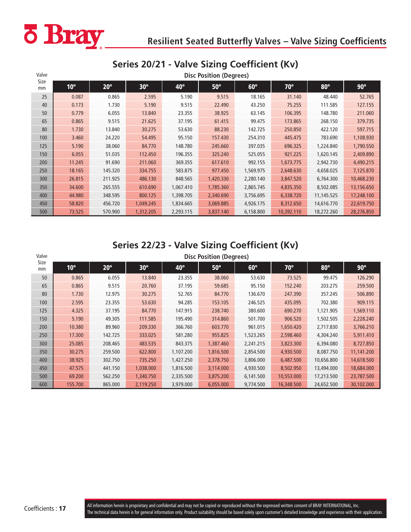<span id="page-16-0"></span>

## **Series 20/21 - Valve Sizing Coefficient (Kv)**

| Valve      |              | <b>Disc Position (Degrees)</b> |            |           |            |            |            |            |            |  |  |
|------------|--------------|--------------------------------|------------|-----------|------------|------------|------------|------------|------------|--|--|
| Size<br>mm | $10^{\circ}$ | $20^{\circ}$                   | $30^\circ$ | 40°       | $50^\circ$ | $60^\circ$ | $70^\circ$ | $80^\circ$ | $90^\circ$ |  |  |
| 25         | 0.087        | 0.865                          | 2.595      | 5.190     | 9.515      | 18.165     | 31.140     | 48.440     | 52.765     |  |  |
| 40         | 0.173        | 1.730                          | 5.190      | 9.515     | 22.490     | 43.250     | 75.255     | 111.585    | 127.155    |  |  |
| 50         | 0.779        | 6.055                          | 13.840     | 23.355    | 38.925     | 63.145     | 106.395    | 148.780    | 211.060    |  |  |
| 65         | 0.865        | 9.515                          | 21.625     | 37.195    | 61.415     | 99.475     | 173.865    | 268.150    | 379.735    |  |  |
| 80         | 1.730        | 13.840                         | 30.275     | 53.630    | 88.230     | 142.725    | 250.850    | 422.120    | 597.715    |  |  |
| 100        | 3.460        | 24.220                         | 54.495     | 95.150    | 157.430    | 254.310    | 445.475    | 783.690    | 1,108.930  |  |  |
| 125        | 5.190        | 38.060                         | 84.770     | 148.780   | 245.660    | 397.035    | 696.325    | 1,224.840  | 1,790.550  |  |  |
| 150        | 6.055        | 51.035                         | 112.450    | 196.355   | 325.240    | 525.055    | 921.225    | 1,620.145  | 2,409.890  |  |  |
| 200        | 11.245       | 91.690                         | 211.060    | 369.355   | 617.610    | 992.155    | 1,673.775  | 2,942.730  | 4,490.215  |  |  |
| 250        | 18.165       | 145.320                        | 334.755    | 583.875   | 977.450    | 1,569.975  | 2,648.630  | 4,658.025  | 7,125.870  |  |  |
| 300        | 26.815       | 211.925                        | 486.130    | 848.565   | 1,420.330  | 2,280.140  | 3,847.520  | 6,764.300  | 10,468.230 |  |  |
| 350        | 34.600       | 265.555                        | 610.690    | 1,067.410 | 1,785.360  | 2,865.745  | 4,835.350  | 8,502.085  | 13,156.650 |  |  |
| 400        | 44.980       | 348.595                        | 800.125    | 1,398.705 | 2,340.690  | 3,756.695  | 6,338.720  | 11,145.525 | 17,248.100 |  |  |
| 450        | 58.820       | 456.720                        | 1,049.245  | 1,834.665 | 3,069.885  | 4,926.175  | 8,312.650  | 14,616.770 | 22,619.750 |  |  |
| 500        | 73.525       | 570.900                        | 1,312.205  | 2,293.115 | 3,837.140  | 6,158.800  | 10,392.110 | 18,272.260 | 28,276.850 |  |  |

## **Series 22/23 - Valve Sizing Coefficient (Kv)**

| Valve      |              | <b>Disc Position (Degrees)</b> |            |           |            |            |            |            |            |  |  |  |
|------------|--------------|--------------------------------|------------|-----------|------------|------------|------------|------------|------------|--|--|--|
| Size<br>mm | $10^{\circ}$ | $20^{\circ}$                   | $30^\circ$ | 40°       | $50^\circ$ | $60^\circ$ | $70^\circ$ | $80^\circ$ | $90^\circ$ |  |  |  |
| 50         | 0.865        | 6.055                          | 13.840     | 23.355    | 38.060     | 53.630     | 73.525     | 99.475     | 126.290    |  |  |  |
| 65         | 0.865        | 9.515                          | 20.760     | 37.195    | 59.685     | 95.150     | 152.240    | 203.275    | 259.500    |  |  |  |
| 80         | 1.730        | 12.975                         | 30.275     | 52.765    | 84.770     | 136.670    | 247.390    | 357.245    | 506.890    |  |  |  |
| 100        | 2.595        | 23.355                         | 53.630     | 94.285    | 153.105    | 246.525    | 435.095    | 702.380    | 909.115    |  |  |  |
| 125        | 4.325        | 37.195                         | 84.770     | 147.915   | 238,740    | 380.600    | 690.270    | 1,121.905  | 1,569.110  |  |  |  |
| 150        | 5.190        | 49.305                         | 111.585    | 195.490   | 314,860    | 501.700    | 906.520    | 1,502.505  | 2,228.240  |  |  |  |
| 200        | 10.380       | 89.960                         | 209.330    | 366.760   | 603.770    | 961.015    | 1,650.420  | 2,717.830  | 3,766.210  |  |  |  |
| 250        | 17.300       | 142.725                        | 333.025    | 581.280   | 955.825    | 1,523.265  | 2,598.460  | 4,304.240  | 5,911.410  |  |  |  |
| 300        | 25.085       | 208.465                        | 483.535    | 843.375   | 1,387.460  | 2,241.215  | 3,823.300  | 6,394.080  | 8,727.850  |  |  |  |
| 350        | 30.275       | 259.500                        | 622.800    | 1,107.200 | 1,816.500  | 2,854.500  | 4,930.500  | 8,087.750  | 11,141.200 |  |  |  |
| 400        | 38.925       | 302.750                        | 735.250    | 1,427.250 | 2,378.750  | 3,806.000  | 6,487.500  | 10,656.800 | 14,618.500 |  |  |  |
| 450        | 47.575       | 441.150                        | 1,038.000  | 1,816.500 | 3,114.000  | 4,930.500  | 8,502.950  | 13,494.000 | 18,684.000 |  |  |  |
| 500        | 69.200       | 562.250                        | 1,340,750  | 2,335.500 | 3,875.200  | 6,141.500  | 10,553.000 | 17,213.500 | 23,787.500 |  |  |  |
| 600        | 155.700      | 865.000                        | 2,119.250  | 3,979.000 | 6,055.000  | 9,774.500  | 16,348.500 | 24,652.500 | 30,102.000 |  |  |  |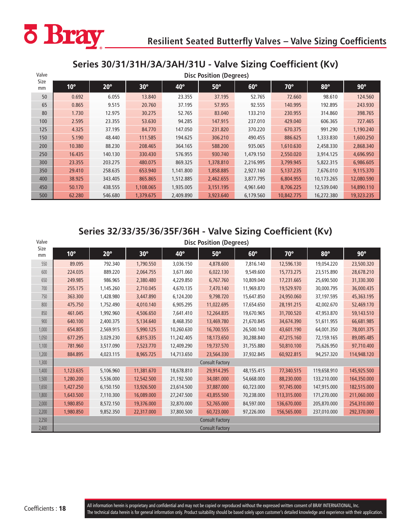<span id="page-17-0"></span>

## **Series 30/31/31H/3A/3AH/31U - Valve Sizing Coefficient (Kv)**

| Valve      |              | <b>Disc Position (Degrees)</b> |            |              |            |            |            |            |            |  |  |  |
|------------|--------------|--------------------------------|------------|--------------|------------|------------|------------|------------|------------|--|--|--|
| Size<br>mm | $10^{\circ}$ | $20^{\circ}$                   | $30^\circ$ | $40^{\circ}$ | $50^\circ$ | $60^\circ$ | $70^\circ$ | $80^\circ$ | $90^\circ$ |  |  |  |
| 50         | 0.692        | 6.055                          | 13.840     | 23.355       | 37.195     | 52.765     | 72.660     | 98.610     | 124.560    |  |  |  |
| 65         | 0.865        | 9.515                          | 20,760     | 37.195       | 57.955     | 92.555     | 140.995    | 192.895    | 243.930    |  |  |  |
| 80         | 1.730        | 12.975                         | 30.275     | 52.765       | 83.040     | 133.210    | 230.955    | 314.860    | 398.765    |  |  |  |
| 100        | 2.595        | 23.355                         | 53.630     | 94.285       | 147.915    | 237.010    | 429.040    | 606.365    | 727.465    |  |  |  |
| 125        | 4.325        | 37.195                         | 84.770     | 147.050      | 231.820    | 370.220    | 670.375    | 991.290    | 1,190.240  |  |  |  |
| 150        | 5.190        | 48.440                         | 111.585    | 194.625      | 306.210    | 490.455    | 886.625    | 1,333.830  | 1,600.250  |  |  |  |
| 200        | 10.380       | 88.230                         | 208.465    | 364.165      | 588.200    | 935.065    | 1,610.630  | 2,458.330  | 2,868.340  |  |  |  |
| 250        | 16.435       | 140.130                        | 330.430    | 576.955      | 930.740    | 1,479.150  | 2,550.020  | 3,914.125  | 4,696.950  |  |  |  |
| 300        | 23.355       | 203.275                        | 480.075    | 869.325      | 1,378.810  | 2,216.995  | 3,799.945  | 5,822.315  | 6,986.605  |  |  |  |
| 350        | 29.410       | 258.635                        | 653.940    | 1,141.800    | 1,858.885  | 2,927.160  | 5,137.235  | 7,676.010  | 9,115.370  |  |  |  |
| 400        | 38.925       | 343.405                        | 865,865    | 1,512.885    | 2,462.655  | 3,877.795  | 6,804.955  | 10,173.265 | 12,080.590 |  |  |  |
| 450        | 50.170       | 438.555                        | 1,108.065  | 1,935.005    | 3,151.195  | 4,961.640  | 8,706.225  | 12,539.040 | 14,890.110 |  |  |  |
| 500        | 62.280       | 546.680                        | 1,379.675  | 2,409.890    | 3,923.640  | 6,179.560  | 10,842.775 | 16,272.380 | 19,323.235 |  |  |  |

## **Series 32/33/35/36/35F/36H - Valve Sizing Coefficient (Kv)**

| Valve      |              | <b>Disc Position (Degrees)</b> |            |            |                        |            |             |             |             |  |
|------------|--------------|--------------------------------|------------|------------|------------------------|------------|-------------|-------------|-------------|--|
| Size<br>mm | $10^{\circ}$ | $20^\circ$                     | $30^\circ$ | 40°        | $50^\circ$             | $60^\circ$ | $70^\circ$  | $80^\circ$  | $90^\circ$  |  |
| 550        | 89.095       | 792.340                        | 1,790.550  | 3,036.150  | 4,878.600              | 7,816.140  | 12,596.130  | 19,054.220  | 23,500.320  |  |
| 600        | 224.035      | 889.220                        | 2,064.755  | 3,671.060  | 6,022.130              | 9,549.600  | 15,773.275  | 23,515.890  | 28,678.210  |  |
| 650        | 249.985      | 986.965                        | 2,380.480  | 4,229.850  | 6.767.760              | 10,809,040 | 17,231.665  | 25,690.500  | 31,330.300  |  |
| 700        | 255.175      | 1,145.260                      | 2,710.045  | 4,670.135  | 7,470.140              | 11,969.870 | 19,529.970  | 30,000.795  | 36,000.435  |  |
| 750        | 363.300      | 1,428.980                      | 3,447.890  | 6,124.200  | 9.798.720              | 15,647.850 | 24,950.060  | 37,197.595  | 45,363.195  |  |
| 800        | 475.750      | 1,752.490                      | 4,010.140  | 6,905.295  | 11,022.695             | 17,654.650 | 28,191.215  | 42,002.670  | 52,469.170  |  |
| 850        | 461.045      | 1,992.960                      | 4,506.650  | 7,641.410  | 12,264.835             | 19,670.965 | 31,700.520  | 47,953.870  | 59,143.510  |  |
| 900        | 640.100      | 2,400.375                      | 5,134.640  | 8,468.350  | 13,469.780             | 21,670.845 | 34,674.390  | 51,611.955  | 66,681.985  |  |
| 1,000      | 654.805      | 2,569.915                      | 5,990.125  | 10,260,630 | 16,700.555             | 26,500.140 | 43,601.190  | 64,001.350  | 78,001.375  |  |
| 1,050      | 677.295      | 3,029.230                      | 6,815.335  | 11,242.405 | 18,173.650             | 30,288.840 | 47,215.160  | 72,159.165  | 89,085.485  |  |
| 1,100      | 781.960      | 3,517.090                      | 7,523.770  | 12,409.290 | 19,737.570             | 31,755.880 | 50,810.100  | 75,626.950  | 97,710.400  |  |
| 1,200      | 884.895      | 4,023.115                      | 8,965.725  | 14,713.650 | 23,564.330             | 37,932.845 | 60,922.815  | 94,257.320  | 114,948.120 |  |
| 1,300      |              |                                |            |            | <b>Consult Factory</b> |            |             |             |             |  |
| 1,400      | 1,123.635    | 5,106.960                      | 11,381.670 | 18,678.810 | 29,914.295             | 48,155.415 | 77,340.515  | 119,658.910 | 145,925.500 |  |
| 1,500      | 1,280.200    | 5,536.000                      | 12,542.500 | 21,192.500 | 34,081.000             | 54,668.000 | 88,230.000  | 133,210.000 | 164,350.000 |  |
| 1,650      | 1,427.250    | 6,150.150                      | 13,926.500 | 23,614.500 | 37,887.000             | 60,723.000 | 97,745.000  | 147,915.000 | 182,515.000 |  |
| 1,800      | 1,643.500    | 7,110.300                      | 16,089.000 | 27,247.500 | 43,855.500             | 70,238.000 | 113,315.000 | 171,270.000 | 211,060.000 |  |
| 2,000      | 1,980.850    | 8,572.150                      | 19,376.000 | 32,870.000 | 52,765.000             | 84,597.000 | 136,670.000 | 205,870.000 | 254,310.000 |  |
| 2,200      | 1,980.850    | 9,852.350                      | 22,317.000 | 37,800.500 | 60,723.000             | 97,226.000 | 156,565.000 | 237,010.000 | 292,370.000 |  |
| 2,250      |              |                                |            |            | <b>Consult Factory</b> |            |             |             |             |  |
| 2,400      |              |                                |            |            | <b>Consult Factory</b> |            |             |             |             |  |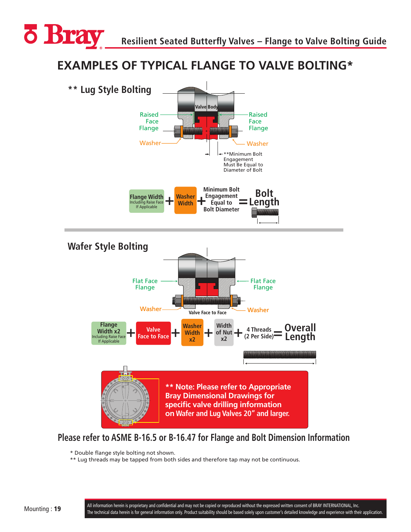<span id="page-18-0"></span>

# **Examples of Typical Flange to Valve Bolting\* EXAMPLES OF TYPICAL FLANGE TO VALVE BOLTING\***



## **Please refer to ASME B-16.5 or B-16.47 for Flange and Bolt Dimension Information**

\* Double flange style bolting not shown.

\*\* Lug threads may be tapped from both sides and therefore tap may not be continuous.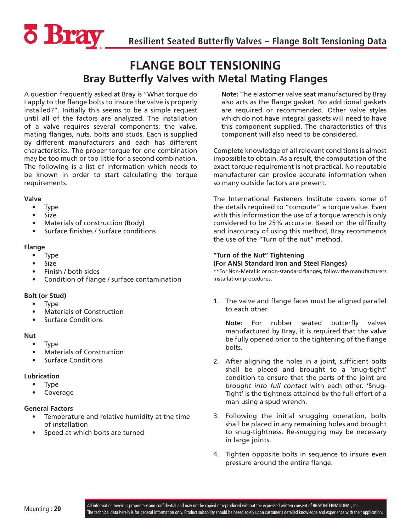<span id="page-19-0"></span>

## **FLANGE BOLT TENSIONING Bray Butterfly Valves with Metal Mating Flanges**

A question frequently asked at Bray is "What torque do I apply to the flange bolts to insure the valve is properly installed?". Initially this seems to be a simple request until all of the factors are analyzed. The installation of a valve requires several components: the valve, mating flanges, nuts, bolts and studs. Each is supplied by different manufacturers and each has different characteristics. The proper torque for one combination may be too much or too little for a second combination. The following is a list of information which needs to be known in order to start calculating the torque requirements.

#### **Valve**

- Type
- Size
- Materials of construction (Body)
- Surface finishes / Surface conditions

#### **Flange**

- Type
- Size
- Finish / both sides
- Condition of flange / surface contamination

#### **Bolt (or Stud)**

- Type
- Materials of Construction
- Surface Conditions

#### **Nut**

- Type
- Materials of Construction
- Surface Conditions

#### **Lubrication**

- Type
- Coverage

#### **General Factors**

- Temperature and relative humidity at the time of installation
- Speed at which bolts are turned

**Note:** The elastomer valve seat manufactured by Bray also acts as the flange gasket. No additional gaskets are required or recommended. Other valve styles which do not have integral gaskets will need to have this component supplied. The characteristics of this component will also need to be considered.

Complete knowledge of all relevant conditions is almost impossible to obtain. As a result, the computation of the exact torque requirement is not practical. No reputable manufacturer can provide accurate information when so many outside factors are present.

The International Fasteners Institute covers some of the details required to "compute" a torque value. Even with this information the use of a torque wrench is only considered to be 25% accurate. Based on the difficulty and inaccuracy of using this method, Bray recommends the use of the "Turn of the nut" method.

#### **"Turn of the Nut" Tightening (For ANSI Standard Iron and Steel Flanges)**

\*\*For Non-Metallic or non-standard flanges, follow the manufacturers installation procedures.

1. The valve and flange faces must be aligned parallel to each other.

**Note:** For rubber seated butterfly valves manufactured by Bray, it is required that the valve be fully opened prior to the tightening of the flange bolts.

- 2. After aligning the holes in a joint, sufficient bolts shall be placed and brought to a 'snug-tight' condition to ensure that the parts of the joint are *brought into full contact* with each other. 'Snug-Tight' is the tightness attained by the full effort of a man using a spud wrench.
- 3. Following the initial snugging operation, bolts shall be placed in any remaining holes and brought to snug-tightness. Re-snugging may be necessary in large joints.
- 4. Tighten opposite bolts in sequence to insure even pressure around the entire flange.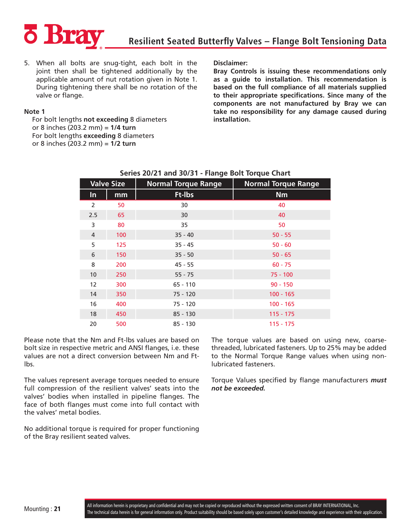

5. When all bolts are snug-tight, each bolt in the joint then shall be tightened additionally by the applicable amount of nut rotation given in Note 1. During tightening there shall be no rotation of the valve or flange.

#### **Note 1**

For bolt lengths **not exceeding** 8 diameters or 8 inches (203.2 mm) = **1/4 turn** For bolt lengths **exceeding** 8 diameters or 8 inches (203.2 mm) = **1/2 turn**

**Disclaimer:**

**Bray Controls is issuing these recommendations only as a guide to installation. This recommendation is based on the full compliance of all materials supplied to their appropriate specifications. Since many of the components are not manufactured by Bray we can take no responsibility for any damage caused during installation.**

|                | <b>Valve Size</b> | <b>Normal Torque Range</b> | <b>Normal Torque Range</b> |  |  |
|----------------|-------------------|----------------------------|----------------------------|--|--|
| $\ln$          | mm                | Ft-Ibs                     | <b>Nm</b>                  |  |  |
| 2              | 50                | 30                         | 40                         |  |  |
| 2.5            | 65                | 30                         | 40                         |  |  |
| 3              | 80                | 35                         | 50                         |  |  |
| $\overline{4}$ | 100               | $35 - 40$                  | $50 - 55$                  |  |  |
| 5              | 125               | $35 - 45$                  | $50 - 60$                  |  |  |
| 6              | 150               | $35 - 50$                  | $50 - 65$                  |  |  |
| 8              | 200               | $45 - 55$                  | $60 - 75$                  |  |  |
| 10             | 250               | $55 - 75$                  | $75 - 100$                 |  |  |
| 12             | 300               | $65 - 110$                 | $90 - 150$                 |  |  |
| 14             | 350               | $75 - 120$                 | $100 - 165$                |  |  |
| 16             | 400               | $75 - 120$                 | $100 - 165$                |  |  |
| 18             | 450               | $85 - 130$                 | $115 - 175$                |  |  |
| 20             | 500               | $85 - 130$                 | 115 - 175                  |  |  |

#### **Series 20/21 and 30/31 - Flange Bolt Torque Chart**

Please note that the Nm and Ft-lbs values are based on bolt size in respective metric and ANSI flanges, i.e. these values are not a direct conversion between Nm and Ftlbs.

The values represent average torques needed to ensure full compression of the resilient valves' seats into the valves' bodies when installed in pipeline flanges. The face of both flanges must come into full contact with the valves' metal bodies.

No additional torque is required for proper functioning of the Bray resilient seated valves.

The torque values are based on using new, coarsethreaded, lubricated fasteners. Up to 25% may be added to the Normal Torque Range values when using nonlubricated fasteners.

Torque Values specified by flange manufacturers *must not be exceeded.*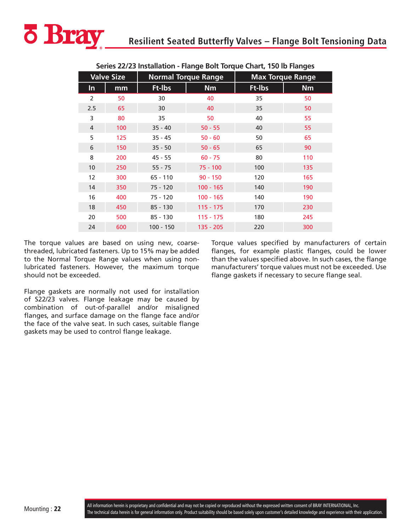

|                | יסו טביבים באוויסטים וויסט פאוויסטים וויסטאטוויסטים וויסטים באוויסט |             |                            |        |                         |  |  |  |  |  |  |
|----------------|---------------------------------------------------------------------|-------------|----------------------------|--------|-------------------------|--|--|--|--|--|--|
|                | <b>Valve Size</b>                                                   |             | <b>Normal Torque Range</b> |        | <b>Max Torque Range</b> |  |  |  |  |  |  |
| In             | mm                                                                  | Ft-Ibs      | <b>Nm</b>                  | Ft-Ibs | <b>Nm</b>               |  |  |  |  |  |  |
| $\overline{2}$ | 50                                                                  | 30          | 40                         | 35     | 50                      |  |  |  |  |  |  |
| 2.5            | 65                                                                  | 30          | 40                         | 35     | 50                      |  |  |  |  |  |  |
| 3              | 80                                                                  | 35          | 50                         | 40     | 55                      |  |  |  |  |  |  |
| 4              | 100                                                                 | $35 - 40$   | $50 - 55$                  | 40     | 55                      |  |  |  |  |  |  |
| 5              | 125                                                                 | $35 - 45$   | $50 - 60$                  | 50     | 65                      |  |  |  |  |  |  |
| 6              | 150                                                                 | $35 - 50$   | $50 - 65$                  | 65     | 90                      |  |  |  |  |  |  |
| 8              | 200                                                                 | $45 - 55$   | $60 - 75$                  | 80     | 110                     |  |  |  |  |  |  |
| 10             | 250                                                                 | $55 - 75$   | $75 - 100$                 | 100    | 135                     |  |  |  |  |  |  |
| 12             | 300                                                                 | $65 - 110$  | $90 - 150$                 | 120    | 165                     |  |  |  |  |  |  |
| 14             | 350                                                                 | $75 - 120$  | $100 - 165$                | 140    | 190                     |  |  |  |  |  |  |
| 16             | 400                                                                 | $75 - 120$  | $100 - 165$                | 140    | 190                     |  |  |  |  |  |  |
| 18             | 450                                                                 | $85 - 130$  | $115 - 175$                | 170    | 230                     |  |  |  |  |  |  |
| 20             | 500                                                                 | $85 - 130$  | $115 - 175$                | 180    | 245                     |  |  |  |  |  |  |
| 24             | 600                                                                 | $100 - 150$ | $135 - 205$                | 220    | 300                     |  |  |  |  |  |  |

**Series 22/23 Installation - Flange Bolt Torque Chart, 150 lb Flanges**

The torque values are based on using new, coarsethreaded, lubricated fasteners. Up to 15% may be added to the Normal Torque Range values when using nonlubricated fasteners. However, the maximum torque should not be exceeded.

Torque values specified by manufacturers of certain flanges, for example plastic flanges, could be lower than the values specified above. In such cases, the flange manufacturers' torque values must not be exceeded. Use flange gaskets if necessary to secure flange seal.

Flange gaskets are normally not used for installation of S22/23 valves. Flange leakage may be caused by combination of out-of-parallel and/or misaligned flanges, and surface damage on the flange face and/or the face of the valve seat. In such cases, suitable flange gaskets may be used to control flange leakage.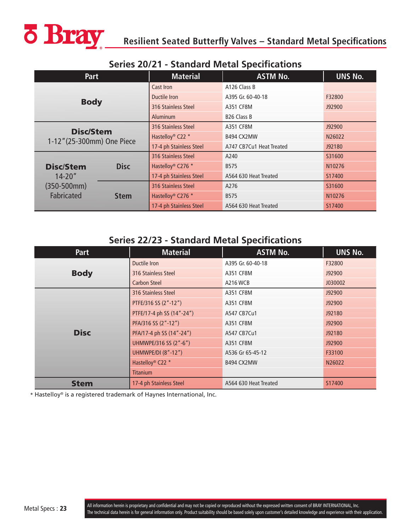<span id="page-22-0"></span>

|                            | <u>Jelies ZVZ I - Jtaliualu Metal Jpetilitativiis</u> |                               |                          |                |  |  |  |  |  |  |  |
|----------------------------|-------------------------------------------------------|-------------------------------|--------------------------|----------------|--|--|--|--|--|--|--|
| Part                       |                                                       | <b>Material</b>               | <b>ASTM No.</b>          | <b>UNS No.</b> |  |  |  |  |  |  |  |
| <b>Body</b>                |                                                       | Cast Iron                     | A126 Class B             |                |  |  |  |  |  |  |  |
|                            |                                                       | Ductile Iron                  | A395 Gr. 60-40-18        | F32800         |  |  |  |  |  |  |  |
|                            |                                                       | 316 Stainless Steel           | A351 CF8M                | J92900         |  |  |  |  |  |  |  |
|                            |                                                       | <b>Aluminum</b>               | B <sub>26</sub> Class B  |                |  |  |  |  |  |  |  |
| <b>Disc/Stem</b>           |                                                       | 316 Stainless Steel           | A351 CF8M                | J92900         |  |  |  |  |  |  |  |
| 1-12" (25-300mm) One Piece |                                                       | Hastelloy <sup>®</sup> C22 *  | B494 CX2MW               | N26022         |  |  |  |  |  |  |  |
|                            |                                                       | 17-4 ph Stainless Steel       | A747 CB7Cu1 Heat Treated | J92180         |  |  |  |  |  |  |  |
|                            |                                                       | 316 Stainless Steel           | A240                     | S31600         |  |  |  |  |  |  |  |
| <b>Disc/Stem</b>           | <b>Disc</b>                                           | Hastelloy <sup>®</sup> C276 * | B575                     | N10276         |  |  |  |  |  |  |  |
| $14 - 20"$                 |                                                       | 17-4 ph Stainless Steel       | A564 630 Heat Treated    | S17400         |  |  |  |  |  |  |  |
| $(350-500mm)$              |                                                       | 316 Stainless Steel           | A276                     | S31600         |  |  |  |  |  |  |  |
| Fabricated                 | <b>Stem</b>                                           | Hastelloy <sup>®</sup> C276 * | <b>B575</b>              | N10276         |  |  |  |  |  |  |  |
|                            |                                                       | 17-4 ph Stainless Steel       | A564 630 Heat Treated    | S17400         |  |  |  |  |  |  |  |

#### **Series 20/21 - Standard Metal Specifications**

## **Series 22/23 - Standard Metal Specifications**

| <b>Part</b> | <b>Material</b>              | <b>ASTM No.</b>       | UNS No. |
|-------------|------------------------------|-----------------------|---------|
|             | Ductile Iron                 | A395 Gr. 60-40-18     | F32800  |
| <b>Body</b> | 316 Stainless Steel          | A351 CF8M             | J92900  |
|             | <b>Carbon Steel</b>          | <b>A216 WCB</b>       | J030002 |
|             | 316 Stainless Steel          | A351 CF8M             | J92900  |
|             | PTFE/316 SS (2"-12")         | A351 CF8M             | J92900  |
|             | PTFE/17-4 ph SS (14"-24")    | A547 CB7Cu1           | J92180  |
|             | PFA/316 SS (2"-12")          | A351 CF8M             | J92900  |
| <b>Disc</b> | PFA/17-4 ph SS (14"-24")     | A547 CB7Cu1           | J92180  |
|             | UHMWPE/316 SS (2"-6")        | A351 CF8M             | J92900  |
|             | <b>UHMWPE/DI (8"-12")</b>    | A536 Gr 65-45-12      | F33100  |
|             | Hastelloy <sup>®</sup> C22 * | B494 CX2MW            | N26022  |
|             | <b>Titanium</b>              |                       |         |
| <b>Stem</b> | 17-4 ph Stainless Steel      | A564 630 Heat Treated | S17400  |

\* Hastelloy® is a registered trademark of Haynes International, Inc.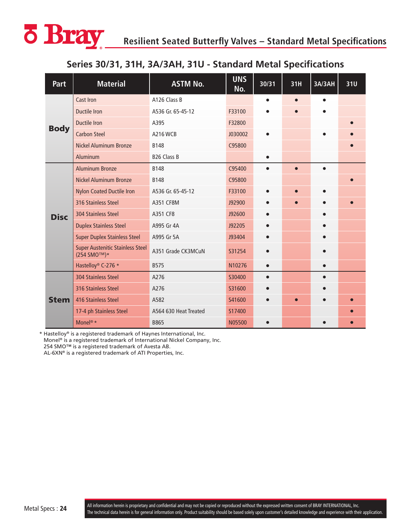<span id="page-23-0"></span>

## **Series 30/31, 31H, 3A/3AH, 31U - Standard Metal Specifications**

| Part        | <b>Material</b>                                                    | <b>ASTM No.</b>       | <b>UNS</b><br>No. | 30/31 | 31H       | 3A/3AH | 31U |
|-------------|--------------------------------------------------------------------|-----------------------|-------------------|-------|-----------|--------|-----|
|             | <b>Cast Iron</b>                                                   | A126 Class B          |                   |       |           |        |     |
|             | <b>Ductile Iron</b>                                                | A536 Gr. 65-45-12     | F33100            |       |           |        |     |
|             | <b>Ductile Iron</b>                                                | A395                  | F32800            |       |           |        |     |
| <b>Body</b> | <b>Carbon Steel</b>                                                | <b>A216 WCB</b>       | J030002           |       |           |        |     |
|             | <b>Nickel Aluminum Bronze</b>                                      | <b>B148</b>           | C95800            |       |           |        |     |
|             | Aluminum                                                           | B26 Class B           |                   |       |           |        |     |
|             | <b>Aluminum Bronze</b>                                             | <b>B148</b>           | C95400            |       | г         |        |     |
|             | <b>Nickel Aluminum Bronze</b>                                      | <b>B148</b>           | C95800            |       |           |        |     |
|             | <b>Nylon Coated Ductile Iron</b>                                   | A536 Gr. 65-45-12     | F33100            |       | $\bullet$ |        |     |
| <b>Disc</b> | 316 Stainless Steel                                                | A351 CF8M             | J92900            |       |           |        |     |
|             | 304 Stainless Steel                                                | A351 CF8              | J92600            |       |           |        |     |
|             | <b>Duplex Stainless Steel</b>                                      | A995 Gr 4A            | J92205            |       |           |        |     |
|             | <b>Super Duplex Stainless Steel</b>                                | A995 Gr 5A            | J93404            |       |           |        |     |
|             | <b>Super Austenitic Stainless Steel</b><br>(254 SMO <sup>™)*</sup> | A351 Grade CK3MCuN    | S31254            |       |           |        |     |
|             | Hastelloy <sup>®</sup> C-276 *                                     | <b>B575</b>           | N10276            |       |           |        |     |
|             | <b>304 Stainless Steel</b>                                         | A276                  | S30400            |       |           |        |     |
|             | 316 Stainless Steel                                                | A276                  | S31600            |       |           |        |     |
| <b>Stem</b> | 416 Stainless Steel                                                | A582                  | S41600            |       | $\bullet$ |        |     |
|             | 17-4 ph Stainless Steel                                            | A564 630 Heat Treated | S17400            |       |           |        |     |
|             | Monel <sup>®</sup> *                                               | B865                  | N05500            |       |           |        |     |

\* Hastelloy® is a registered trademark of Haynes International, Inc. Monel® is a registered trademark of International Nickel Company, Inc.

254 SMO™ is a registered trademark of Avesta AB.

AL-6XN® is a registered trademark of ATI Properties, Inc.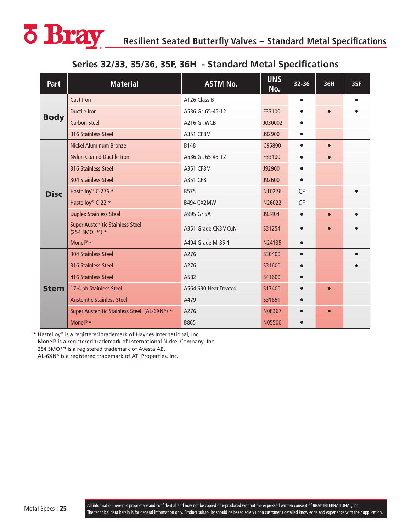<span id="page-24-0"></span>

## **Series 32/33, 35/36, 35F, 36H - Standard Metal Specifications**

| Part        | <b>Material</b>                                          | <b>ASTM No.</b>       | <b>UNS</b><br>No. | 32-36     | 36H       | 35F |
|-------------|----------------------------------------------------------|-----------------------|-------------------|-----------|-----------|-----|
| <b>Body</b> | Cast Iron                                                | A126 Class B          |                   |           |           |     |
|             | <b>Ductile Iron</b>                                      | A536 Gr. 65-45-12     | F33100            |           |           |     |
|             | <b>Carbon Steel</b>                                      | <b>A216 Gr. WCB</b>   | J030002           | $\bullet$ |           |     |
|             | 316 Stainless Steel                                      | A351 CF8M             | J92900            |           |           |     |
| <b>Disc</b> | <b>Nickel Aluminum Bronze</b>                            | B148                  | C95800            | $\bullet$ | $\bullet$ |     |
|             | <b>Nylon Coated Ductile Iron</b>                         | A536 Gr. 65-45-12     | F33100            |           |           |     |
|             | 316 Stainless Steel                                      | A351 CF8M             | J92900            |           |           |     |
|             | 304 Stainless Steel                                      | A351 CF8              | J92600            | $\bullet$ |           |     |
|             | Hastelloy® C-276 *                                       | <b>B575</b>           | N10276            | <b>CF</b> |           |     |
|             | Hastelloy® C-22 *                                        | B494 CX2MW            | N26022            | <b>CF</b> |           |     |
|             | <b>Duplex Stainless Steel</b>                            | A995 Gr 5A            | J93404            | $\bullet$ | $\bullet$ |     |
|             | <b>Super Austenitic Stainless Steel</b><br>(254 SMO ™) * | A351 Grade CK3MCuN    | S31254            | $\bullet$ | $\bullet$ |     |
|             | Monel <sup>®</sup> *                                     | A494 Grade M-35-1     | N24135            | $\bullet$ |           |     |
| <b>Stem</b> | 304 Stainless Steel                                      | A276                  | S30400            |           |           |     |
|             | <b>316 Stainless Steel</b>                               | A276                  | S31600            | $\bullet$ |           |     |
|             | <b>416 Stainless Steel</b>                               | A582                  | S41600            |           |           |     |
|             | 17-4 ph Stainless Steel                                  | A564 630 Heat Treated | S17400            |           | $\bullet$ |     |
|             | <b>Austenitic Stainless Steel</b>                        | A479                  | S31651            | $\bullet$ |           |     |
|             | Super Austenitic Stainless Steel (AL-6XN®) *             | A276                  | N08367            |           | $\bullet$ |     |
|             | Monel <sup>®</sup> *                                     | B865                  | N05500            |           |           |     |

\* Hastelloy® is a registered trademark of Haynes International, Inc. Monel® is a registered trademark of International Nickel Company, Inc. 254 SMO<sup>™</sup> is a registered trademark of Avesta AB.

AL-6XN® is a registered trademark of ATI Properties, Inc.